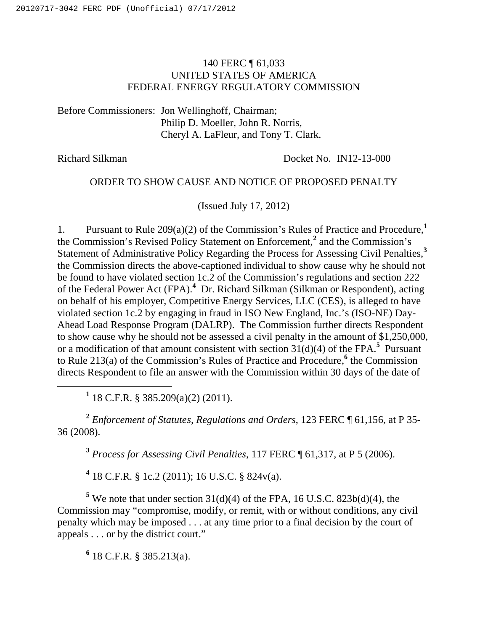# 140 FERC ¶ 61,033 UNITED STATES OF AMERICA FEDERAL ENERGY REGULATORY COMMISSION

Before Commissioners: Jon Wellinghoff, Chairman; Philip D. Moeller, John R. Norris, Cheryl A. LaFleur, and Tony T. Clark.

Richard Silkman Docket No. IN12-13-000

# ORDER TO SHOW CAUSE AND NOTICE OF PROPOSED PENALTY

(Issued July 17, 2012)

1. Pursuant to Rule 209(a)(2) of the Commission's Rules of Practice and Procedure,**<sup>1</sup>** the Commission's Revised Policy Statement on Enforcement,**<sup>2</sup>** and the Commission's Statement of Administrative Policy Regarding the Process for Assessing Civil Penalties,**<sup>3</sup>** the Commission directs the above-captioned individual to show cause why he should not be found to have violated section 1c.2 of the Commission's regulations and section 222 of the Federal Power Act (FPA).**<sup>4</sup>** Dr. Richard Silkman (Silkman or Respondent), acting on behalf of his employer, Competitive Energy Services, LLC (CES), is alleged to have violated section 1c.2 by engaging in fraud in ISO New England, Inc.'s (ISO-NE) Day-Ahead Load Response Program (DALRP). The Commission further directs Respondent to show cause why he should not be assessed a civil penalty in the amount of \$1,250,000, or a modification of that amount consistent with section  $31(d)(4)$  of the FPA.<sup>5</sup> Pursuant to Rule 213(a) of the Commission's Rules of Practice and Procedure,<sup>6</sup> the Commission directs Respondent to file an answer with the Commission within 30 days of the date of

<u>1</u> <sup>1</sup> 18 C.F.R. § 385.209(a)(2) (2011).

**<sup>2</sup>** *Enforcement of Statutes, Regulations and Orders*, 123 FERC ¶ 61,156, at P 35- 36 (2008).

**<sup>3</sup>** *Process for Assessing Civil Penalties*, 117 FERC ¶ 61,317, at P 5 (2006).

**4** 18 C.F.R. § 1c.2 (2011); 16 U.S.C. § 824v(a).

<sup>5</sup> We note that under section  $31(d)(4)$  of the FPA, 16 U.S.C. 823b(d)(4), the Commission may "compromise, modify, or remit, with or without conditions, any civil penalty which may be imposed . . . at any time prior to a final decision by the court of appeals . . . or by the district court."

**6** 18 C.F.R. § 385.213(a).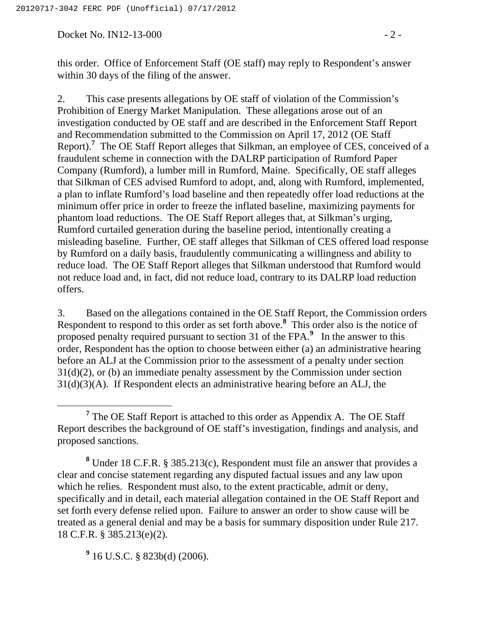Docket No. IN12-13-000 - 2 -

this order. Office of Enforcement Staff (OE staff) may reply to Respondent's answer within 30 days of the filing of the answer.

2. This case presents allegations by OE staff of violation of the Commission's Prohibition of Energy Market Manipulation. These allegations arose out of an investigation conducted by OE staff and are described in the Enforcement Staff Report and Recommendation submitted to the Commission on April 17, 2012 (OE Staff Report).<sup>7</sup> The OE Staff Report alleges that Silkman, an employee of CES, conceived of a fraudulent scheme in connection with the DALRP participation of Rumford Paper Company (Rumford), a lumber mill in Rumford, Maine. Specifically, OE staff alleges that Silkman of CES advised Rumford to adopt, and, along with Rumford, implemented, a plan to inflate Rumford's load baseline and then repeatedly offer load reductions at the minimum offer price in order to freeze the inflated baseline, maximizing payments for phantom load reductions. The OE Staff Report alleges that, at Silkman's urging, Rumford curtailed generation during the baseline period, intentionally creating a misleading baseline. Further, OE staff alleges that Silkman of CES offered load response by Rumford on a daily basis, fraudulently communicating a willingness and ability to reduce load. The OE Staff Report alleges that Silkman understood that Rumford would not reduce load and, in fact, did not reduce load, contrary to its DALRP load reduction offers.

3. Based on the allegations contained in the OE Staff Report, the Commission orders Respondent to respond to this order as set forth above.**<sup>8</sup>** This order also is the notice of proposed penalty required pursuant to section 31 of the FPA.**<sup>9</sup>** In the answer to this order, Respondent has the option to choose between either (a) an administrative hearing before an ALJ at the Commission prior to the assessment of a penalty under section 31(d)(2), or (b) an immediate penalty assessment by the Commission under section 31(d)(3)(A). If Respondent elects an administrative hearing before an ALJ, the

**9** 16 U.S.C. § 823b(d) (2006).

**<sup>7</sup>**  $7$  The OE Staff Report is attached to this order as Appendix A. The OE Staff Report describes the background of OE staff's investigation, findings and analysis, and proposed sanctions.

**<sup>8</sup>** Under 18 C.F.R. § 385.213(c), Respondent must file an answer that provides a clear and concise statement regarding any disputed factual issues and any law upon which he relies. Respondent must also, to the extent practicable, admit or deny, specifically and in detail, each material allegation contained in the OE Staff Report and set forth every defense relied upon. Failure to answer an order to show cause will be treated as a general denial and may be a basis for summary disposition under Rule 217. 18 C.F.R. § 385.213(e)(2).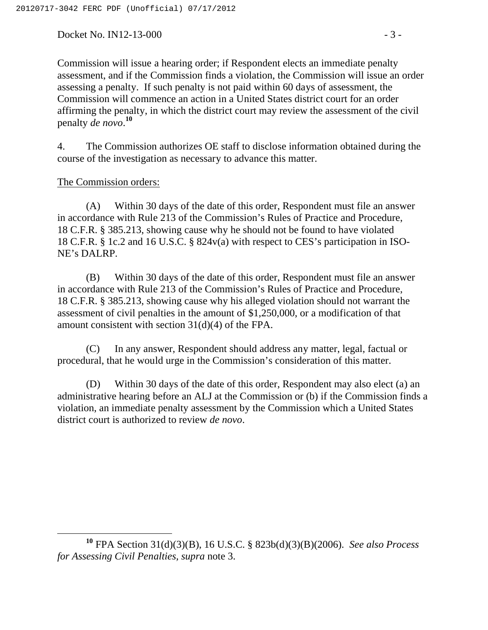Docket No. IN12-13-000 - 3 -

Commission will issue a hearing order; if Respondent elects an immediate penalty assessment, and if the Commission finds a violation, the Commission will issue an order assessing a penalty. If such penalty is not paid within 60 days of assessment, the Commission will commence an action in a United States district court for an order affirming the penalty, in which the district court may review the assessment of the civil penalty *de novo*. **10**

4. The Commission authorizes OE staff to disclose information obtained during the course of the investigation as necessary to advance this matter.

#### The Commission orders:

(A) Within 30 days of the date of this order, Respondent must file an answer in accordance with Rule 213 of the Commission's Rules of Practice and Procedure, 18 C.F.R. § 385.213, showing cause why he should not be found to have violated 18 C.F.R. § 1c.2 and 16 U.S.C. § 824v(a) with respect to CES's participation in ISO-NE's DALRP.

(B) Within 30 days of the date of this order, Respondent must file an answer in accordance with Rule 213 of the Commission's Rules of Practice and Procedure, 18 C.F.R. § 385.213, showing cause why his alleged violation should not warrant the assessment of civil penalties in the amount of \$1,250,000, or a modification of that amount consistent with section 31(d)(4) of the FPA.

(C) In any answer, Respondent should address any matter, legal, factual or procedural, that he would urge in the Commission's consideration of this matter.

(D) Within 30 days of the date of this order, Respondent may also elect (a) an administrative hearing before an ALJ at the Commission or (b) if the Commission finds a violation, an immediate penalty assessment by the Commission which a United States district court is authorized to review *de novo*.

**<sup>10</sup>** FPA Section 31(d)(3)(B), 16 U.S.C. § 823b(d)(3)(B)(2006). *See also Process for Assessing Civil Penalties, supra* note 3.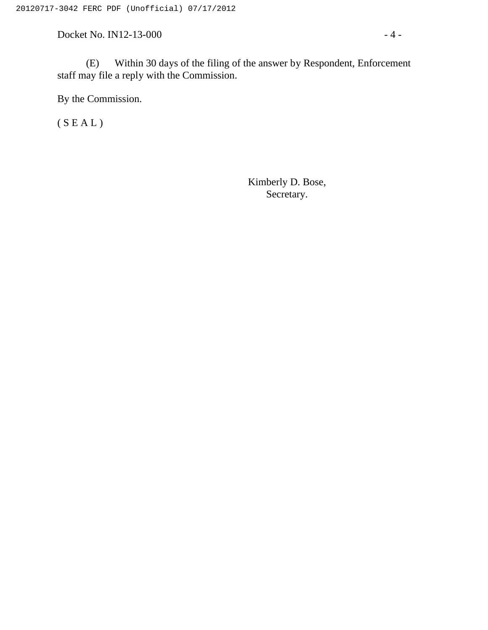Docket No. IN12-13-000 - 4 -

(E) Within 30 days of the filing of the answer by Respondent, Enforcement staff may file a reply with the Commission.

By the Commission.

 $(S E A L)$ 

Kimberly D. Bose, Secretary.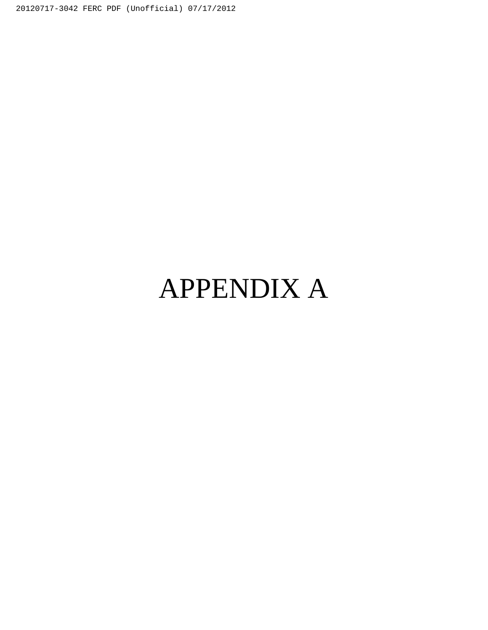20120717-3042 FERC PDF (Unofficial) 07/17/2012

# APPENDIX A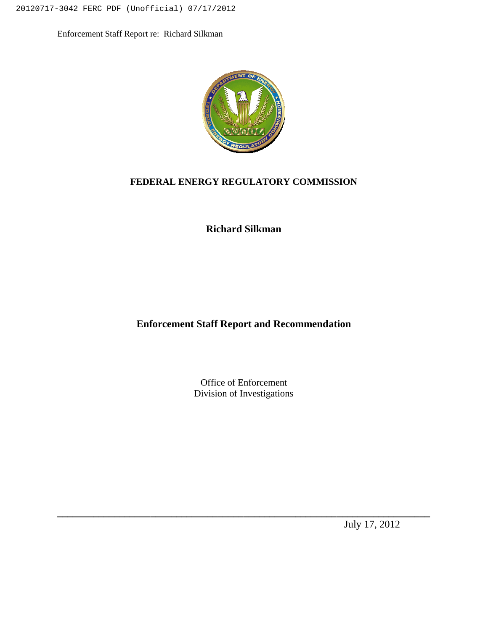20120717-3042 FERC PDF (Unofficial) 07/17/2012

Enforcement Staff Report re: Richard Silkman



# **FEDERAL ENERGY REGULATORY COMMISSION**

**Richard Silkman**

**Enforcement Staff Report and Recommendation**

Office of Enforcement Division of Investigations

**\_\_\_\_\_\_\_\_\_\_\_\_\_\_\_\_\_\_\_\_\_\_\_\_\_\_\_\_\_\_\_\_\_\_\_\_\_\_\_\_\_\_\_\_\_\_\_\_\_\_\_\_\_\_\_\_\_\_\_\_\_\_\_\_\_\_\_\_\_\_\_\_**

July 17, 2012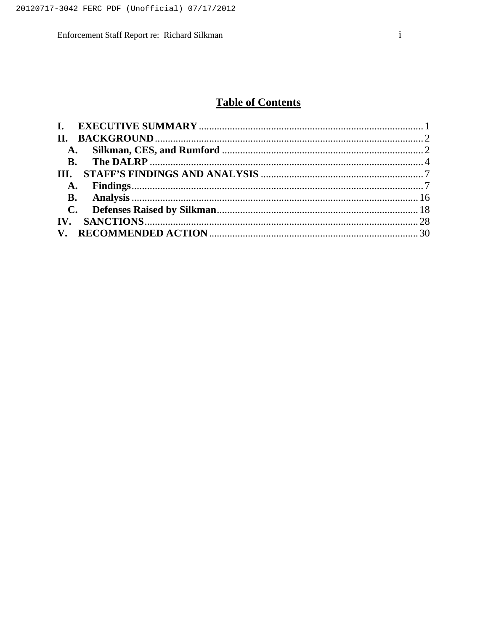# **Table of Contents**

| II.                    |  |
|------------------------|--|
|                        |  |
|                        |  |
|                        |  |
|                        |  |
|                        |  |
|                        |  |
|                        |  |
| $\mathbf{V}_{\bullet}$ |  |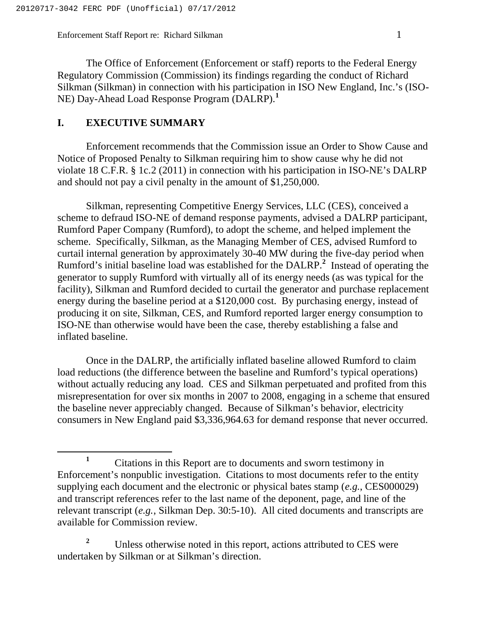The Office of Enforcement (Enforcement or staff) reports to the Federal Energy Regulatory Commission (Commission) its findings regarding the conduct of Richard Silkman (Silkman) in connection with his participation in ISO New England, Inc.'s (ISO-NE) Day-Ahead Load Response Program (DALRP).**<sup>1</sup>**

# **I. EXECUTIVE SUMMARY**

Enforcement recommends that the Commission issue an Order to Show Cause and Notice of Proposed Penalty to Silkman requiring him to show cause why he did not violate 18 C.F.R. § 1c.2 (2011) in connection with his participation in ISO-NE's DALRP and should not pay a civil penalty in the amount of \$1,250,000.

Silkman, representing Competitive Energy Services, LLC (CES), conceived a scheme to defraud ISO-NE of demand response payments, advised a DALRP participant, Rumford Paper Company (Rumford), to adopt the scheme, and helped implement the scheme. Specifically, Silkman, as the Managing Member of CES, advised Rumford to curtail internal generation by approximately 30-40 MW during the five-day period when Rumford's initial baseline load was established for the DALRP.<sup>2</sup> Instead of operating the generator to supply Rumford with virtually all of its energy needs (as was typical for the facility), Silkman and Rumford decided to curtail the generator and purchase replacement energy during the baseline period at a \$120,000 cost. By purchasing energy, instead of producing it on site, Silkman, CES, and Rumford reported larger energy consumption to ISO-NE than otherwise would have been the case, thereby establishing a false and inflated baseline.

Once in the DALRP, the artificially inflated baseline allowed Rumford to claim load reductions (the difference between the baseline and Rumford's typical operations) without actually reducing any load. CES and Silkman perpetuated and profited from this misrepresentation for over six months in 2007 to 2008, engaging in a scheme that ensured the baseline never appreciably changed. Because of Silkman's behavior, electricity consumers in New England paid \$3,336,964.63 for demand response that never occurred.

<sup>2</sup> Unless otherwise noted in this report, actions attributed to CES were undertaken by Silkman or at Silkman's direction.

<sup>&</sup>lt;sup>1</sup> Citations in this Report are to documents and sworn testimony in Enforcement's nonpublic investigation. Citations to most documents refer to the entity supplying each document and the electronic or physical bates stamp (*e.g.*, CES000029) and transcript references refer to the last name of the deponent, page, and line of the relevant transcript (*e.g.*, Silkman Dep. 30:5-10). All cited documents and transcripts are available for Commission review.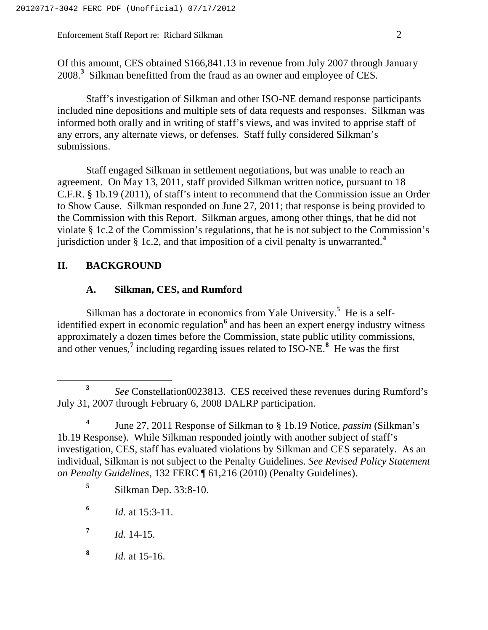Of this amount, CES obtained \$166,841.13 in revenue from July 2007 through January 2008.**<sup>3</sup>** Silkman benefitted from the fraud as an owner and employee of CES.

Staff's investigation of Silkman and other ISO-NE demand response participants included nine depositions and multiple sets of data requests and responses. Silkman was informed both orally and in writing of staff's views, and was invited to apprise staff of any errors, any alternate views, or defenses. Staff fully considered Silkman's submissions.

Staff engaged Silkman in settlement negotiations, but was unable to reach an agreement. On May 13, 2011, staff provided Silkman written notice, pursuant to 18 C.F.R. § 1b.19 (2011), of staff's intent to recommend that the Commission issue an Order to Show Cause. Silkman responded on June 27, 2011; that response is being provided to the Commission with this Report. Silkman argues, among other things, that he did not violate § 1c.2 of the Commission's regulations, that he is not subject to the Commission's jurisdiction under § 1c.2, and that imposition of a civil penalty is unwarranted.**<sup>4</sup>**

# **II. BACKGROUND**

# **A. Silkman, CES, and Rumford**

Silkman has a doctorate in economics from Yale University.<sup>5</sup> He is a selfidentified expert in economic regulation<sup>6</sup> and has been an expert energy industry witness approximately a dozen times before the Commission, state public utility commissions, and other venues,<sup>7</sup> including regarding issues related to ISO-NE.<sup>8</sup> He was the first

**<sup>5</sup>** Silkman Dep. 33:8-10.

**<sup>8</sup>** *Id.* at 15-16.

**<sup>3</sup>** *See* Constellation0023813. CES received these revenues during Rumford's July 31, 2007 through February 6, 2008 DALRP participation.

**<sup>4</sup>** June 27, 2011 Response of Silkman to § 1b.19 Notice, *passim* (Silkman's 1b.19 Response). While Silkman responded jointly with another subject of staff's investigation, CES, staff has evaluated violations by Silkman and CES separately. As an individual, Silkman is not subject to the Penalty Guidelines. *See Revised Policy Statement on Penalty Guidelines*, 132 FERC ¶ 61,216 (2010) (Penalty Guidelines).

**<sup>6</sup>** *Id.* at 15:3-11.

 $\frac{7}{1}$  *Id.* 14-15.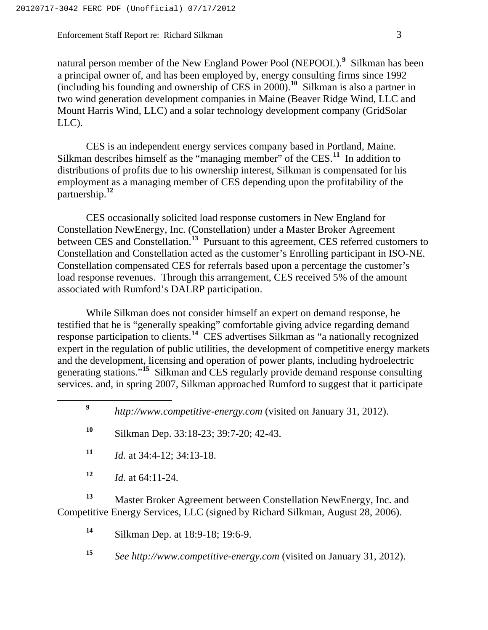natural person member of the New England Power Pool (NEPOOL).**<sup>9</sup>** Silkman has been a principal owner of, and has been employed by, energy consulting firms since 1992 (including his founding and ownership of CES in 2000).**<sup>10</sup>** Silkman is also a partner in two wind generation development companies in Maine (Beaver Ridge Wind, LLC and Mount Harris Wind, LLC) and a solar technology development company (GridSolar LLC).

CES is an independent energy services company based in Portland, Maine. Silkman describes himself as the "managing member" of the CES.**<sup>11</sup>** In addition to distributions of profits due to his ownership interest, Silkman is compensated for his employment as a managing member of CES depending upon the profitability of the partnership.**<sup>12</sup>**

CES occasionally solicited load response customers in New England for Constellation NewEnergy, Inc. (Constellation) under a Master Broker Agreement between CES and Constellation.**<sup>13</sup>** Pursuant to this agreement, CES referred customers to Constellation and Constellation acted as the customer's Enrolling participant in ISO-NE. Constellation compensated CES for referrals based upon a percentage the customer's load response revenues. Through this arrangement, CES received 5% of the amount associated with Rumford's DALRP participation.

While Silkman does not consider himself an expert on demand response, he testified that he is "generally speaking" comfortable giving advice regarding demand response participation to clients.**<sup>14</sup>** CES advertises Silkman as "a nationally recognized expert in the regulation of public utilities, the development of competitive energy markets and the development, licensing and operation of power plants, including hydroelectric generating stations."**<sup>15</sup>** Silkman and CES regularly provide demand response consulting services. and, in spring 2007, Silkman approached Rumford to suggest that it participate

- **<sup>11</sup>** *Id.* at 34:4-12; 34:13-18.
- $12$  *Id.* at 64:11-24.

**<sup>13</sup>** Master Broker Agreement between Constellation NewEnergy, Inc. and Competitive Energy Services, LLC (signed by Richard Silkman, August 28, 2006).

**<sup>14</sup>** Silkman Dep. at 18:9-18; 19:6-9.

**<sup>15</sup>** *See http://www.competitive-energy.com* (visited on January 31, 2012).

**<sup>9</sup>** *http://www.competitive-energy.com* (visited on January 31, 2012).

**<sup>10</sup>** Silkman Dep. 33:18-23; 39:7-20; 42-43.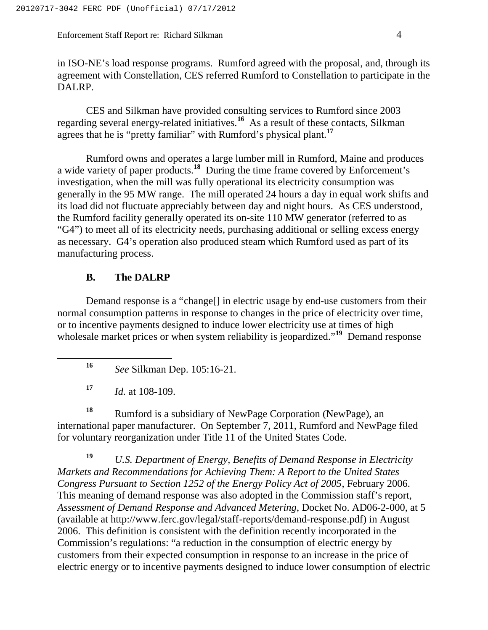in ISO-NE's load response programs. Rumford agreed with the proposal, and, through its agreement with Constellation, CES referred Rumford to Constellation to participate in the DALRP.

CES and Silkman have provided consulting services to Rumford since 2003 regarding several energy-related initiatives.**<sup>16</sup>** As a result of these contacts, Silkman agrees that he is "pretty familiar" with Rumford's physical plant.**<sup>17</sup>**

Rumford owns and operates a large lumber mill in Rumford, Maine and produces a wide variety of paper products.**<sup>18</sup>** During the time frame covered by Enforcement's investigation, when the mill was fully operational its electricity consumption was generally in the 95 MW range. The mill operated 24 hours a day in equal work shifts and its load did not fluctuate appreciably between day and night hours. As CES understood, the Rumford facility generally operated its on-site 110 MW generator (referred to as "G4") to meet all of its electricity needs, purchasing additional or selling excess energy as necessary. G4's operation also produced steam which Rumford used as part of its manufacturing process.

#### **B. The DALRP**

Demand response is a "change[] in electric usage by end-use customers from their normal consumption patterns in response to changes in the price of electricity over time, or to incentive payments designed to induce lower electricity use at times of high wholesale market prices or when system reliability is jeopardized."**<sup>19</sup>** Demand response

**<sup>18</sup>** Rumford is a subsidiary of NewPage Corporation (NewPage), an international paper manufacturer. On September 7, 2011, Rumford and NewPage filed for voluntary reorganization under Title 11 of the United States Code.

**<sup>19</sup>** *U.S. Department of Energy, Benefits of Demand Response in Electricity Markets and Recommendations for Achieving Them: A Report to the United States Congress Pursuant to Section 1252 of the Energy Policy Act of 2005*, February 2006. This meaning of demand response was also adopted in the Commission staff's report, *Assessment of Demand Response and Advanced Metering*, Docket No. AD06-2-000, at 5 (available at http://www.ferc.gov/legal/staff-reports/demand-response.pdf) in August 2006. This definition is consistent with the definition recently incorporated in the Commission's regulations: "a reduction in the consumption of electric energy by customers from their expected consumption in response to an increase in the price of electric energy or to incentive payments designed to induce lower consumption of electric

**<sup>16</sup>** *See* Silkman Dep. 105:16-21.

**<sup>17</sup>** *Id.* at 108-109.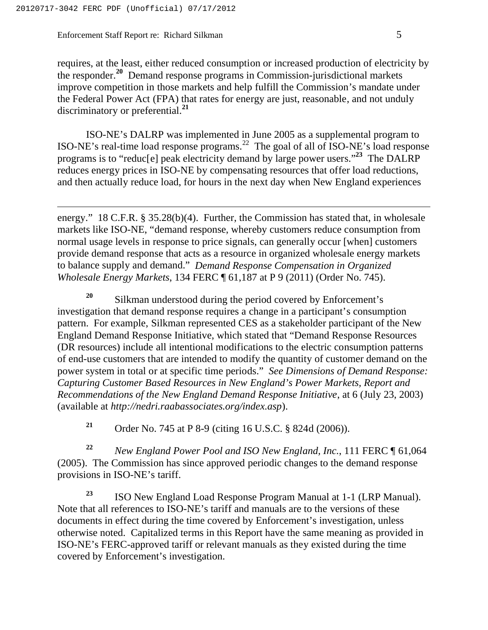$\overline{a}$ 

Enforcement Staff Report re: Richard Silkman 5

requires, at the least, either reduced consumption or increased production of electricity by the responder.**<sup>20</sup>** Demand response programs in Commission-jurisdictional markets improve competition in those markets and help fulfill the Commission's mandate under the Federal Power Act (FPA) that rates for energy are just, reasonable, and not unduly discriminatory or preferential.**<sup>21</sup>**

ISO-NE's DALRP was implemented in June 2005 as a supplemental program to ISO-NE's real-time load response programs.22 The goal of all of ISO-NE's load response programs is to "reduc[e] peak electricity demand by large power users."**<sup>23</sup>** The DALRP reduces energy prices in ISO-NE by compensating resources that offer load reductions, and then actually reduce load, for hours in the next day when New England experiences

energy." 18 C.F.R. § 35.28(b)(4). Further, the Commission has stated that, in wholesale markets like ISO-NE, "demand response, whereby customers reduce consumption from normal usage levels in response to price signals, can generally occur [when] customers provide demand response that acts as a resource in organized wholesale energy markets to balance supply and demand." *Demand Response Compensation in Organized Wholesale Energy Markets*, 134 FERC ¶ 61,187 at P 9 (2011) (Order No. 745).

<sup>20</sup> Silkman understood during the period covered by Enforcement's investigation that demand response requires a change in a participant's consumption pattern. For example, Silkman represented CES as a stakeholder participant of the New England Demand Response Initiative, which stated that "Demand Response Resources (DR resources) include all intentional modifications to the electric consumption patterns of end-use customers that are intended to modify the quantity of customer demand on the power system in total or at specific time periods." *See Dimensions of Demand Response: Capturing Customer Based Resources in New England's Power Markets, Report and Recommendations of the New England Demand Response Initiative*, at 6 (July 23, 2003) (available at *http://nedri.raabassociates.org/index.asp*).

**<sup>21</sup>** Order No. 745 at P 8-9 (citing 16 U.S.C. § 824d (2006)).

**<sup>22</sup>** *New England Power Pool and ISO New England, Inc.*, 111 FERC ¶ 61,064 (2005). The Commission has since approved periodic changes to the demand response provisions in ISO-NE's tariff.

**<sup>23</sup>** ISO New England Load Response Program Manual at 1-1 (LRP Manual). Note that all references to ISO-NE's tariff and manuals are to the versions of these documents in effect during the time covered by Enforcement's investigation, unless otherwise noted. Capitalized terms in this Report have the same meaning as provided in ISO-NE's FERC-approved tariff or relevant manuals as they existed during the time covered by Enforcement's investigation.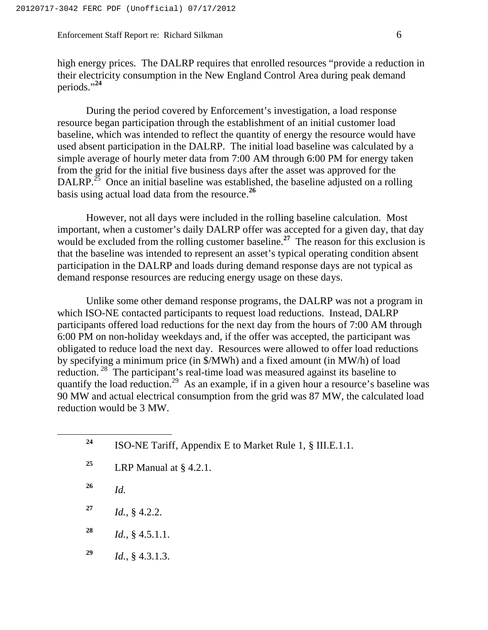high energy prices. The DALRP requires that enrolled resources "provide a reduction in their electricity consumption in the New England Control Area during peak demand periods."**<sup>24</sup>**

During the period covered by Enforcement's investigation, a load response resource began participation through the establishment of an initial customer load baseline, which was intended to reflect the quantity of energy the resource would have used absent participation in the DALRP. The initial load baseline was calculated by a simple average of hourly meter data from 7:00 AM through 6:00 PM for energy taken from the grid for the initial five business days after the asset was approved for the DALRP.<sup>25</sup> Once an initial baseline was established, the baseline adjusted on a rolling basis using actual load data from the resource.**<sup>26</sup>**

However, not all days were included in the rolling baseline calculation. Most important, when a customer's daily DALRP offer was accepted for a given day, that day would be excluded from the rolling customer baseline.<sup>27</sup> The reason for this exclusion is that the baseline was intended to represent an asset's typical operating condition absent participation in the DALRP and loads during demand response days are not typical as demand response resources are reducing energy usage on these days.

Unlike some other demand response programs, the DALRP was not a program in which ISO-NE contacted participants to request load reductions. Instead, DALRP participants offered load reductions for the next day from the hours of 7:00 AM through 6:00 PM on non-holiday weekdays and, if the offer was accepted, the participant was obligated to reduce load the next day. Resources were allowed to offer load reductions by specifying a minimum price (in \$/MWh) and a fixed amount (in MW/h) of load reduction. 28 The participant's real-time load was measured against its baseline to quantify the load reduction.<sup>29</sup> As an example, if in a given hour a resource's baseline was 90 MW and actual electrical consumption from the grid was 87 MW, the calculated load reduction would be 3 MW.

| 24 | ISO-NE Tariff, Appendix E to Market Rule 1, § III.E.1.1. |
|----|----------------------------------------------------------|
| 25 | LRP Manual at $\S$ 4.2.1.                                |
| 26 | Id.                                                      |
| 27 | $Id.$ , § 4.2.2.                                         |
| 28 | Id., § 4.5.1.1.                                          |
| 29 | Id., § 4.3.1.3.                                          |
|    |                                                          |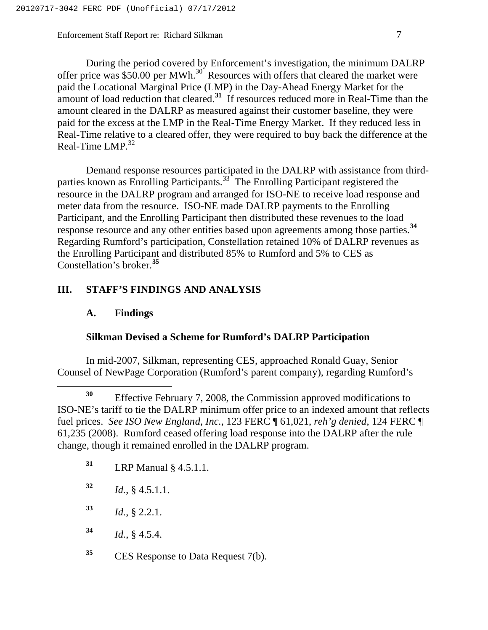During the period covered by Enforcement's investigation, the minimum DALRP offer price was  $$50.00$  per MWh.<sup>30</sup> Resources with offers that cleared the market were paid the Locational Marginal Price (LMP) in the Day-Ahead Energy Market for the amount of load reduction that cleared.**<sup>31</sup>** If resources reduced more in Real-Time than the amount cleared in the DALRP as measured against their customer baseline, they were paid for the excess at the LMP in the Real-Time Energy Market. If they reduced less in Real-Time relative to a cleared offer, they were required to buy back the difference at the Real-Time LMP.<sup>32</sup>

Demand response resources participated in the DALRP with assistance from thirdparties known as Enrolling Participants.<sup>33</sup> The Enrolling Participant registered the resource in the DALRP program and arranged for ISO-NE to receive load response and meter data from the resource. ISO-NE made DALRP payments to the Enrolling Participant, and the Enrolling Participant then distributed these revenues to the load response resource and any other entities based upon agreements among those parties.**<sup>34</sup>** Regarding Rumford's participation, Constellation retained 10% of DALRP revenues as the Enrolling Participant and distributed 85% to Rumford and 5% to CES as Constellation's broker.**<sup>35</sup>**

# **III. STAFF'S FINDINGS AND ANALYSIS**

#### **A. Findings**

#### **Silkman Devised a Scheme for Rumford's DALRP Participation**

In mid-2007, Silkman, representing CES, approached Ronald Guay, Senior Counsel of NewPage Corporation (Rumford's parent company), regarding Rumford's

- **<sup>31</sup>** LRP Manual § 4.5.1.1.
- **<sup>32</sup>** *Id.*, § 4.5.1.1.
- **<sup>33</sup>** *Id.*, § 2.2.1.
- **<sup>34</sup>** *Id.*, § 4.5.4.
- **<sup>35</sup>** CES Response to Data Request 7(b).

**<sup>30</sup>** Effective February 7, 2008, the Commission approved modifications to ISO-NE's tariff to tie the DALRP minimum offer price to an indexed amount that reflects fuel prices. *See ISO New England, Inc.*, 123 FERC ¶ 61,021, *reh'g denied*, 124 FERC ¶ 61,235 (2008). Rumford ceased offering load response into the DALRP after the rule change, though it remained enrolled in the DALRP program.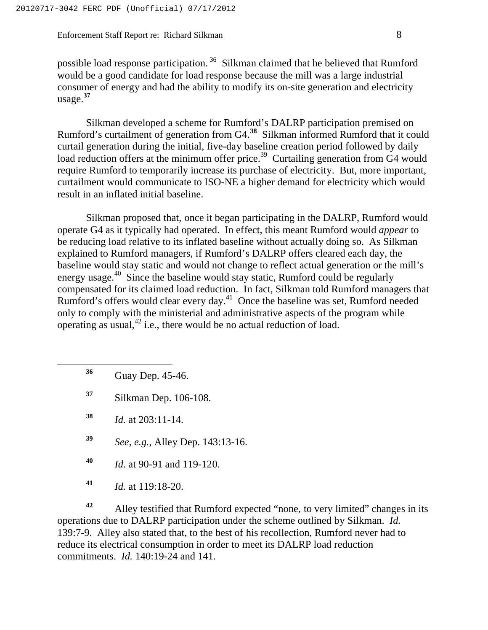possible load response participation.<sup>36</sup> Silkman claimed that he believed that Rumford would be a good candidate for load response because the mill was a large industrial consumer of energy and had the ability to modify its on-site generation and electricity usage.**<sup>37</sup>**

Silkman developed a scheme for Rumford's DALRP participation premised on Rumford's curtailment of generation from G4.**<sup>38</sup>** Silkman informed Rumford that it could curtail generation during the initial, five-day baseline creation period followed by daily load reduction offers at the minimum offer price.<sup>39</sup> Curtailing generation from G4 would require Rumford to temporarily increase its purchase of electricity. But, more important, curtailment would communicate to ISO-NE a higher demand for electricity which would result in an inflated initial baseline.

Silkman proposed that, once it began participating in the DALRP, Rumford would operate G4 as it typically had operated. In effect, this meant Rumford would *appear* to be reducing load relative to its inflated baseline without actually doing so. As Silkman explained to Rumford managers, if Rumford's DALRP offers cleared each day, the baseline would stay static and would not change to reflect actual generation or the mill's energy usage.<sup>40</sup> Since the baseline would stay static, Rumford could be regularly compensated for its claimed load reduction. In fact, Silkman told Rumford managers that Rumford's offers would clear every day.41 Once the baseline was set, Rumford needed only to comply with the ministerial and administrative aspects of the program while operating as usual,  $42$  i.e., there would be no actual reduction of load.

**<sup>38</sup>** *Id.* at 203:11-14.

**<sup>39</sup>** *See*, *e.g.*, Alley Dep. 143:13-16.

- **<sup>40</sup>** *Id.* at 90-91 and 119-120.
- **<sup>41</sup>** *Id.* at 119:18-20.

**<sup>42</sup>** Alley testified that Rumford expected "none, to very limited" changes in its operations due to DALRP participation under the scheme outlined by Silkman. *Id.* 139:7-9. Alley also stated that, to the best of his recollection, Rumford never had to reduce its electrical consumption in order to meet its DALRP load reduction commitments. *Id.* 140:19-24 and 141.

**<sup>36</sup>** Guay Dep. 45-46.

**<sup>37</sup>** Silkman Dep. 106-108.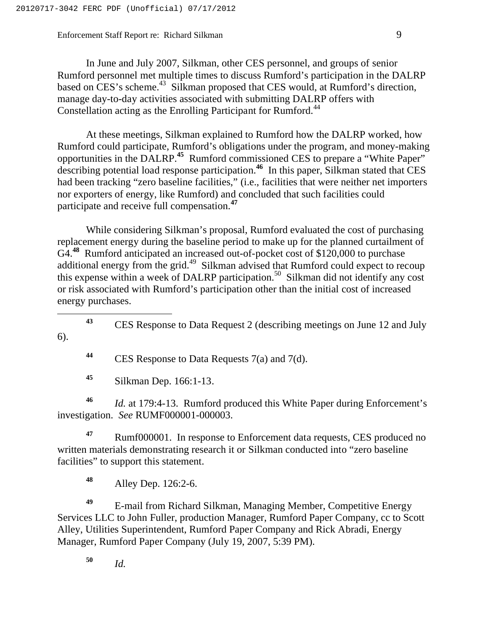In June and July 2007, Silkman, other CES personnel, and groups of senior Rumford personnel met multiple times to discuss Rumford's participation in the DALRP based on CES's scheme.<sup>43</sup> Silkman proposed that CES would, at Rumford's direction, manage day-to-day activities associated with submitting DALRP offers with Constellation acting as the Enrolling Participant for Rumford.<sup>44</sup>

At these meetings, Silkman explained to Rumford how the DALRP worked, how Rumford could participate, Rumford's obligations under the program, and money-making opportunities in the DALRP.**<sup>45</sup>** Rumford commissioned CES to prepare a "White Paper" describing potential load response participation.**<sup>46</sup>** In this paper, Silkman stated that CES had been tracking "zero baseline facilities," (i.e., facilities that were neither net importers nor exporters of energy, like Rumford) and concluded that such facilities could participate and receive full compensation.**<sup>47</sup>**

While considering Silkman's proposal, Rumford evaluated the cost of purchasing replacement energy during the baseline period to make up for the planned curtailment of G4.**<sup>48</sup>** Rumford anticipated an increased out-of-pocket cost of \$120,000 to purchase additional energy from the grid.<sup>49</sup> Silkman advised that Rumford could expect to recoup this expense within a week of DALRP participation.<sup>50</sup> Silkman did not identify any cost or risk associated with Rumford's participation other than the initial cost of increased energy purchases.

 **<sup>43</sup>** CES Response to Data Request 2 (describing meetings on June 12 and July 6).

**<sup>44</sup>** CES Response to Data Requests 7(a) and 7(d).

**<sup>45</sup>** Silkman Dep. 166:1-13.

**<sup>46</sup>** *Id.* at 179:4-13. Rumford produced this White Paper during Enforcement's investigation. *See* RUMF000001-000003.

**<sup>47</sup>** Rumf000001. In response to Enforcement data requests, CES produced no written materials demonstrating research it or Silkman conducted into "zero baseline facilities" to support this statement.

**<sup>48</sup>** Alley Dep. 126:2-6.

**<sup>49</sup>** E-mail from Richard Silkman, Managing Member, Competitive Energy Services LLC to John Fuller, production Manager, Rumford Paper Company, cc to Scott Alley, Utilities Superintendent, Rumford Paper Company and Rick Abradi, Energy Manager, Rumford Paper Company (July 19, 2007, 5:39 PM).

**<sup>50</sup>** *Id.*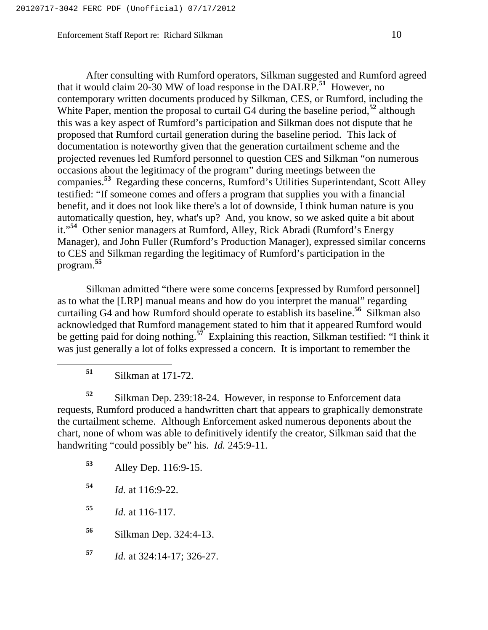After consulting with Rumford operators, Silkman suggested and Rumford agreed that it would claim 20-30 MW of load response in the DALRP.**<sup>51</sup>** However, no contemporary written documents produced by Silkman, CES, or Rumford, including the White Paper, mention the proposal to curtail G4 during the baseline period,<sup>52</sup> although this was a key aspect of Rumford's participation and Silkman does not dispute that he proposed that Rumford curtail generation during the baseline period. This lack of documentation is noteworthy given that the generation curtailment scheme and the projected revenues led Rumford personnel to question CES and Silkman "on numerous occasions about the legitimacy of the program" during meetings between the companies.**<sup>53</sup>** Regarding these concerns, Rumford's Utilities Superintendant, Scott Alley testified: "If someone comes and offers a program that supplies you with a financial benefit, and it does not look like there's a lot of downside, I think human nature is you automatically question, hey, what's up? And, you know, so we asked quite a bit about it."**<sup>54</sup>** Other senior managers at Rumford, Alley, Rick Abradi (Rumford's Energy Manager), and John Fuller (Rumford's Production Manager), expressed similar concerns to CES and Silkman regarding the legitimacy of Rumford's participation in the program.**<sup>55</sup>**

Silkman admitted "there were some concerns [expressed by Rumford personnel] as to what the [LRP] manual means and how do you interpret the manual" regarding curtailing G4 and how Rumford should operate to establish its baseline.**<sup>56</sup>** Silkman also acknowledged that Rumford management stated to him that it appeared Rumford would be getting paid for doing nothing.**<sup>57</sup>** Explaining this reaction, Silkman testified: "I think it was just generally a lot of folks expressed a concern. It is important to remember the

**<sup>51</sup>** Silkman at 171-72.

**<sup>52</sup>** Silkman Dep. 239:18-24. However, in response to Enforcement data requests, Rumford produced a handwritten chart that appears to graphically demonstrate the curtailment scheme. Although Enforcement asked numerous deponents about the chart, none of whom was able to definitively identify the creator, Silkman said that the handwriting "could possibly be" his. *Id.* 245:9-11.

**<sup>53</sup>** Alley Dep. 116:9-15.

**<sup>54</sup>** *Id.* at 116:9-22.

**<sup>55</sup>** *Id.* at 116-117.

**<sup>56</sup>** Silkman Dep. 324:4-13.

**<sup>57</sup>** *Id.* at 324:14-17; 326-27.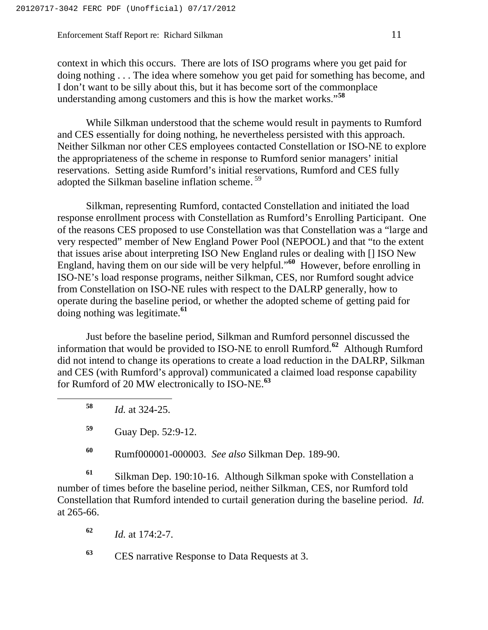context in which this occurs. There are lots of ISO programs where you get paid for doing nothing . . . The idea where somehow you get paid for something has become, and I don't want to be silly about this, but it has become sort of the commonplace understanding among customers and this is how the market works."**<sup>58</sup>**

While Silkman understood that the scheme would result in payments to Rumford and CES essentially for doing nothing, he nevertheless persisted with this approach. Neither Silkman nor other CES employees contacted Constellation or ISO-NE to explore the appropriateness of the scheme in response to Rumford senior managers' initial reservations. Setting aside Rumford's initial reservations, Rumford and CES fully adopted the Silkman baseline inflation scheme.<sup>59</sup>

Silkman, representing Rumford, contacted Constellation and initiated the load response enrollment process with Constellation as Rumford's Enrolling Participant. One of the reasons CES proposed to use Constellation was that Constellation was a "large and very respected" member of New England Power Pool (NEPOOL) and that "to the extent that issues arise about interpreting ISO New England rules or dealing with [] ISO New England, having them on our side will be very helpful."**<sup>60</sup>** However, before enrolling in ISO-NE's load response programs, neither Silkman, CES, nor Rumford sought advice from Constellation on ISO-NE rules with respect to the DALRP generally, how to operate during the baseline period, or whether the adopted scheme of getting paid for doing nothing was legitimate.**<sup>61</sup>**

Just before the baseline period, Silkman and Rumford personnel discussed the information that would be provided to ISO-NE to enroll Rumford.**<sup>62</sup>** Although Rumford did not intend to change its operations to create a load reduction in the DALRP, Silkman and CES (with Rumford's approval) communicated a claimed load response capability for Rumford of 20 MW electronically to ISO-NE.**<sup>63</sup>**

**<sup>58</sup>** *Id.* at 324-25.

**<sup>59</sup>** Guay Dep. 52:9-12.

**<sup>60</sup>** Rumf000001-000003. *See also* Silkman Dep. 189-90.

**<sup>61</sup>** Silkman Dep. 190:10-16. Although Silkman spoke with Constellation a number of times before the baseline period, neither Silkman, CES, nor Rumford told Constellation that Rumford intended to curtail generation during the baseline period. *Id.* at 265-66.

**<sup>62</sup>** *Id.* at 174:2-7.

**<sup>63</sup>** CES narrative Response to Data Requests at 3.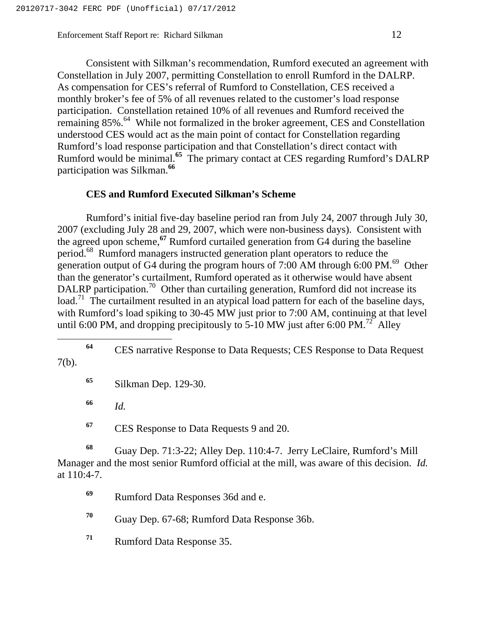Consistent with Silkman's recommendation, Rumford executed an agreement with Constellation in July 2007, permitting Constellation to enroll Rumford in the DALRP. As compensation for CES's referral of Rumford to Constellation, CES received a monthly broker's fee of 5% of all revenues related to the customer's load response participation. Constellation retained 10% of all revenues and Rumford received the remaining 85%.<sup>64</sup> While not formalized in the broker agreement, CES and Constellation understood CES would act as the main point of contact for Constellation regarding Rumford's load response participation and that Constellation's direct contact with Rumford would be minimal.**<sup>65</sup>** The primary contact at CES regarding Rumford's DALRP participation was Silkman.**<sup>66</sup>**

#### **CES and Rumford Executed Silkman's Scheme**

Rumford's initial five-day baseline period ran from July 24, 2007 through July 30, 2007 (excluding July 28 and 29, 2007, which were non-business days). Consistent with the agreed upon scheme,**<sup>67</sup>** Rumford curtailed generation from G4 during the baseline period.68 Rumford managers instructed generation plant operators to reduce the generation output of G4 during the program hours of 7:00 AM through 6:00 PM. $^{69}$  Other than the generator's curtailment, Rumford operated as it otherwise would have absent DALRP participation.<sup>70</sup> Other than curtailing generation, Rumford did not increase its load.<sup>71</sup> The curtailment resulted in an atypical load pattern for each of the baseline days, with Rumford's load spiking to 30-45 MW just prior to 7:00 AM, continuing at that level until 6:00 PM, and dropping precipitously to 5-10 MW just after 6:00 PM.<sup>72</sup> Alley

**<sup>66</sup>** *Id.*

**<sup>67</sup>** CES Response to Data Requests 9 and 20.

**<sup>68</sup>** Guay Dep. 71:3-22; Alley Dep. 110:4-7. Jerry LeClaire, Rumford's Mill Manager and the most senior Rumford official at the mill, was aware of this decision. *Id.* at 110:4-7.

**<sup>69</sup>** Rumford Data Responses 36d and e.

**<sup>70</sup>** Guay Dep. 67-68; Rumford Data Response 36b.

**<sup>71</sup>** Rumford Data Response 35.

**<sup>64</sup>** CES narrative Response to Data Requests; CES Response to Data Request 7(b).

**<sup>65</sup>** Silkman Dep. 129-30.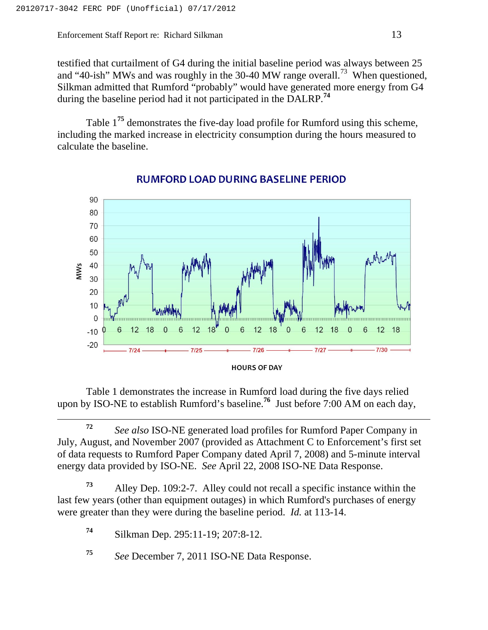testified that curtailment of G4 during the initial baseline period was always between 25 and "40-ish" MWs and was roughly in the 30-40 MW range overall.<sup>73</sup> When questioned, Silkman admitted that Rumford "probably" would have generated more energy from G4 during the baseline period had it not participated in the DALRP.**<sup>74</sup>**

Table 1**<sup>75</sup>** demonstrates the five-day load profile for Rumford using this scheme, including the marked increase in electricity consumption during the hours measured to calculate the baseline.



**RUMFORD LOAD DURING BASELINE PERIOD** 

 Table 1 demonstrates the increase in Rumford load during the five days relied upon by ISO-NE to establish Rumford's baseline.**<sup>76</sup>** Just before 7:00 AM on each day,

 **<sup>72</sup>** *See also* ISO-NE generated load profiles for Rumford Paper Company in July, August, and November 2007 (provided as Attachment C to Enforcement's first set of data requests to Rumford Paper Company dated April 7, 2008) and 5-minute interval energy data provided by ISO-NE. *See* April 22, 2008 ISO-NE Data Response.

**<sup>73</sup>** Alley Dep. 109:2-7. Alley could not recall a specific instance within the last few years (other than equipment outages) in which Rumford's purchases of energy were greater than they were during the baseline period. *Id.* at 113-14.

**<sup>74</sup>** Silkman Dep. 295:11-19; 207:8-12.

**<sup>75</sup>** *See* December 7, 2011 ISO-NE Data Response.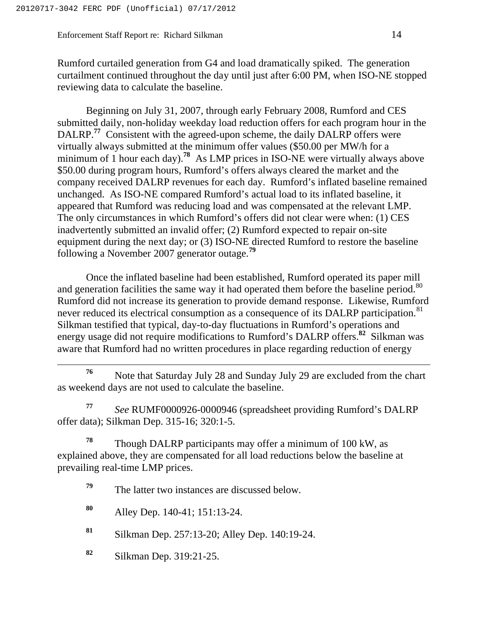Rumford curtailed generation from G4 and load dramatically spiked. The generation curtailment continued throughout the day until just after 6:00 PM, when ISO-NE stopped reviewing data to calculate the baseline.

Beginning on July 31, 2007, through early February 2008, Rumford and CES submitted daily, non-holiday weekday load reduction offers for each program hour in the DALRP.<sup>77</sup> Consistent with the agreed-upon scheme, the daily DALRP offers were virtually always submitted at the minimum offer values (\$50.00 per MW/h for a minimum of 1 hour each day).<sup>78</sup> As LMP prices in ISO-NE were virtually always above \$50.00 during program hours, Rumford's offers always cleared the market and the company received DALRP revenues for each day. Rumford's inflated baseline remained unchanged. As ISO-NE compared Rumford's actual load to its inflated baseline, it appeared that Rumford was reducing load and was compensated at the relevant LMP. The only circumstances in which Rumford's offers did not clear were when: (1) CES inadvertently submitted an invalid offer; (2) Rumford expected to repair on-site equipment during the next day; or (3) ISO-NE directed Rumford to restore the baseline following a November 2007 generator outage.**<sup>79</sup>**

Once the inflated baseline had been established, Rumford operated its paper mill and generation facilities the same way it had operated them before the baseline period.<sup>80</sup> Rumford did not increase its generation to provide demand response. Likewise, Rumford never reduced its electrical consumption as a consequence of its DALRP participation.<sup>81</sup> Silkman testified that typical, day-to-day fluctuations in Rumford's operations and energy usage did not require modifications to Rumford's DALRP offers.**<sup>82</sup>** Silkman was aware that Rumford had no written procedures in place regarding reduction of energy

 **<sup>76</sup>** Note that Saturday July 28 and Sunday July 29 are excluded from the chart as weekend days are not used to calculate the baseline.

**<sup>77</sup>** *See* RUMF0000926-0000946 (spreadsheet providing Rumford's DALRP offer data); Silkman Dep. 315-16; 320:1-5.

**<sup>78</sup>** Though DALRP participants may offer a minimum of 100 kW, as explained above, they are compensated for all load reductions below the baseline at prevailing real-time LMP prices.

**<sup>79</sup>** The latter two instances are discussed below.

**<sup>80</sup>** Alley Dep. 140-41; 151:13-24.

**<sup>81</sup>** Silkman Dep. 257:13-20; Alley Dep. 140:19-24.

**<sup>82</sup>** Silkman Dep. 319:21-25.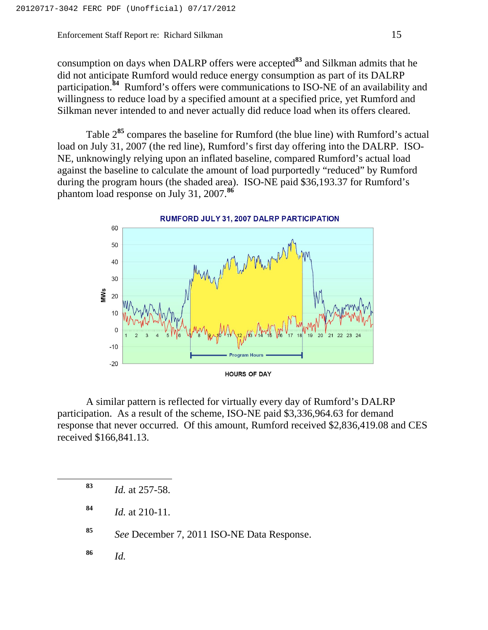consumption on days when DALRP offers were accepted**<sup>83</sup>** and Silkman admits that he did not anticipate Rumford would reduce energy consumption as part of its DALRP participation.**<sup>84</sup>** Rumford's offers were communications to ISO-NE of an availability and willingness to reduce load by a specified amount at a specified price, yet Rumford and Silkman never intended to and never actually did reduce load when its offers cleared.

Table 2**<sup>85</sup>** compares the baseline for Rumford (the blue line) with Rumford's actual load on July 31, 2007 (the red line), Rumford's first day offering into the DALRP. ISO-NE, unknowingly relying upon an inflated baseline, compared Rumford's actual load against the baseline to calculate the amount of load purportedly "reduced" by Rumford during the program hours (the shaded area). ISO-NE paid \$36,193.37 for Rumford's phantom load response on July 31, 2007.**<sup>86</sup>**



A similar pattern is reflected for virtually every day of Rumford's DALRP participation. As a result of the scheme, ISO-NE paid \$3,336,964.63 for demand response that never occurred. Of this amount, Rumford received \$2,836,419.08 and CES received \$166,841.13.

**<sup>86</sup>** *Id.*

**<sup>83</sup>** *Id.* at 257-58.

**<sup>84</sup>** *Id.* at 210-11.

**<sup>85</sup>** *See* December 7, 2011 ISO-NE Data Response.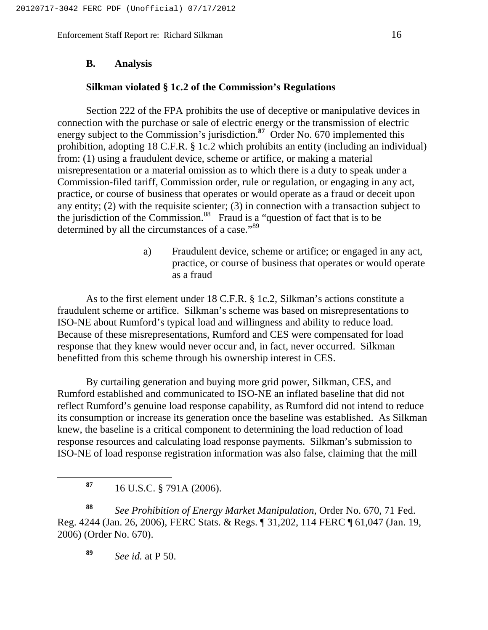#### **Silkman violated § 1c.2 of the Commission's Regulations**

Section 222 of the FPA prohibits the use of deceptive or manipulative devices in connection with the purchase or sale of electric energy or the transmission of electric energy subject to the Commission's jurisdiction.<sup>87</sup> Order No. 670 implemented this prohibition, adopting 18 C.F.R. § 1c.2 which prohibits an entity (including an individual) from: (1) using a fraudulent device, scheme or artifice, or making a material misrepresentation or a material omission as to which there is a duty to speak under a Commission-filed tariff, Commission order, rule or regulation, or engaging in any act, practice, or course of business that operates or would operate as a fraud or deceit upon any entity; (2) with the requisite scienter; (3) in connection with a transaction subject to the jurisdiction of the Commission. $88$  Fraud is a "question of fact that is to be determined by all the circumstances of a case."<sup>89</sup>

> a) Fraudulent device, scheme or artifice; or engaged in any act, practice, or course of business that operates or would operate as a fraud

As to the first element under 18 C.F.R. § 1c.2, Silkman's actions constitute a fraudulent scheme or artifice. Silkman's scheme was based on misrepresentations to ISO-NE about Rumford's typical load and willingness and ability to reduce load. Because of these misrepresentations, Rumford and CES were compensated for load response that they knew would never occur and, in fact, never occurred. Silkman benefitted from this scheme through his ownership interest in CES.

By curtailing generation and buying more grid power, Silkman, CES, and Rumford established and communicated to ISO-NE an inflated baseline that did not reflect Rumford's genuine load response capability, as Rumford did not intend to reduce its consumption or increase its generation once the baseline was established. As Silkman knew, the baseline is a critical component to determining the load reduction of load response resources and calculating load response payments. Silkman's submission to ISO-NE of load response registration information was also false, claiming that the mill

**<sup>88</sup>** *See Prohibition of Energy Market Manipulation*, Order No. 670, 71 Fed. Reg. 4244 (Jan. 26, 2006), FERC Stats. & Regs. ¶ 31,202, 114 FERC ¶ 61,047 (Jan. 19, 2006) (Order No. 670).

**<sup>89</sup>** *See id.* at P 50.

**<sup>87</sup>** 16 U.S.C. § 791A (2006).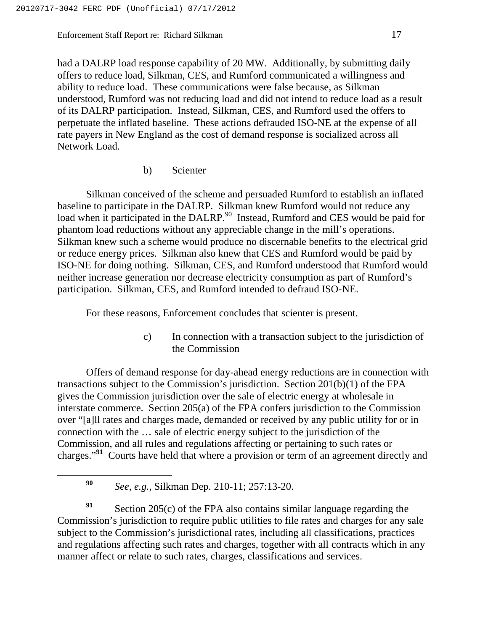had a DALRP load response capability of 20 MW. Additionally, by submitting daily offers to reduce load, Silkman, CES, and Rumford communicated a willingness and ability to reduce load. These communications were false because, as Silkman understood, Rumford was not reducing load and did not intend to reduce load as a result of its DALRP participation. Instead, Silkman, CES, and Rumford used the offers to perpetuate the inflated baseline. These actions defrauded ISO-NE at the expense of all rate payers in New England as the cost of demand response is socialized across all Network Load.

b) Scienter

Silkman conceived of the scheme and persuaded Rumford to establish an inflated baseline to participate in the DALRP. Silkman knew Rumford would not reduce any load when it participated in the DALRP.<sup>90</sup> Instead, Rumford and CES would be paid for phantom load reductions without any appreciable change in the mill's operations. Silkman knew such a scheme would produce no discernable benefits to the electrical grid or reduce energy prices. Silkman also knew that CES and Rumford would be paid by ISO-NE for doing nothing. Silkman, CES, and Rumford understood that Rumford would neither increase generation nor decrease electricity consumption as part of Rumford's participation. Silkman, CES, and Rumford intended to defraud ISO-NE.

For these reasons, Enforcement concludes that scienter is present.

c) In connection with a transaction subject to the jurisdiction of the Commission

Offers of demand response for day-ahead energy reductions are in connection with transactions subject to the Commission's jurisdiction. Section 201(b)(1) of the FPA gives the Commission jurisdiction over the sale of electric energy at wholesale in interstate commerce. Section 205(a) of the FPA confers jurisdiction to the Commission over "[a]ll rates and charges made, demanded or received by any public utility for or in connection with the … sale of electric energy subject to the jurisdiction of the Commission, and all rules and regulations affecting or pertaining to such rates or charges."**<sup>91</sup>** Courts have held that where a provision or term of an agreement directly and

**<sup>91</sup>** Section 205(c) of the FPA also contains similar language regarding the Commission's jurisdiction to require public utilities to file rates and charges for any sale subject to the Commission's jurisdictional rates, including all classifications, practices and regulations affecting such rates and charges, together with all contracts which in any manner affect or relate to such rates, charges, classifications and services.

**<sup>90</sup>** *See*, *e.g.*, Silkman Dep. 210-11; 257:13-20.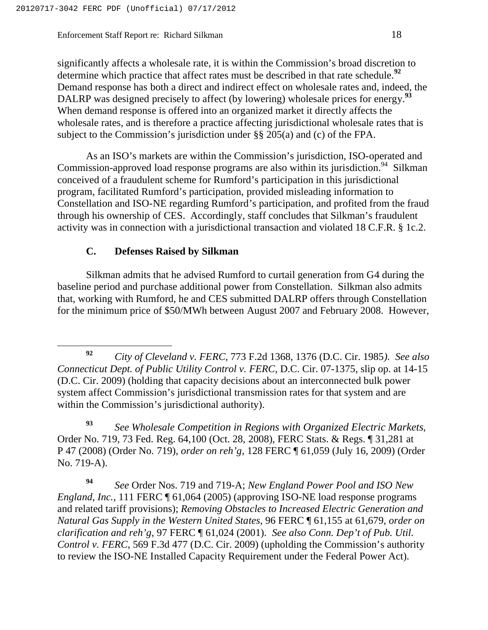significantly affects a wholesale rate, it is within the Commission's broad discretion to determine which practice that affect rates must be described in that rate schedule.**<sup>92</sup>** Demand response has both a direct and indirect effect on wholesale rates and, indeed, the DALRP was designed precisely to affect (by lowering) wholesale prices for energy.**<sup>93</sup>** When demand response is offered into an organized market it directly affects the wholesale rates, and is therefore a practice affecting jurisdictional wholesale rates that is subject to the Commission's jurisdiction under §§ 205(a) and (c) of the FPA.

As an ISO's markets are within the Commission's jurisdiction, ISO-operated and Commission-approved load response programs are also within its jurisdiction.<sup>94</sup> Silkman conceived of a fraudulent scheme for Rumford's participation in this jurisdictional program, facilitated Rumford's participation, provided misleading information to Constellation and ISO-NE regarding Rumford's participation, and profited from the fraud through his ownership of CES. Accordingly, staff concludes that Silkman's fraudulent activity was in connection with a jurisdictional transaction and violated 18 C.F.R. § 1c.2.

#### **C. Defenses Raised by Silkman**

Silkman admits that he advised Rumford to curtail generation from G4 during the baseline period and purchase additional power from Constellation. Silkman also admits that, working with Rumford, he and CES submitted DALRP offers through Constellation for the minimum price of \$50/MWh between August 2007 and February 2008. However,

**<sup>93</sup>** *See Wholesale Competition in Regions with Organized Electric Markets*, Order No. 719, 73 Fed. Reg. 64,100 (Oct. 28, 2008), FERC Stats. & Regs. ¶ 31,281 at P 47 (2008) (Order No. 719), *order on reh'g*, 128 FERC ¶ 61,059 (July 16, 2009) (Order No. 719-A).

**<sup>92</sup>** *City of Cleveland v. FERC,* 773 F.2d 1368, 1376 (D.C. Cir. 1985*). See also Connecticut Dept. of Public Utility Control v. FERC,* D.C. Cir. 07-1375, slip op. at 14-15 (D.C. Cir. 2009) (holding that capacity decisions about an interconnected bulk power system affect Commission's jurisdictional transmission rates for that system and are within the Commission's jurisdictional authority).

**<sup>94</sup>** *See* Order Nos. 719 and 719-A; *New England Power Pool and ISO New England, Inc.*, 111 FERC ¶ 61,064 (2005) (approving ISO-NE load response programs and related tariff provisions); *Removing Obstacles to Increased Electric Generation and Natural Gas Supply in the Western United States*, 96 FERC ¶ 61,155 at 61,679, *order on clarification and reh'g*, 97 FERC ¶ 61,024 (2001). *See also Conn. Dep't of Pub. Util. Control v. FERC*, 569 F.3d 477 (D.C. Cir. 2009) (upholding the Commission's authority to review the ISO-NE Installed Capacity Requirement under the Federal Power Act).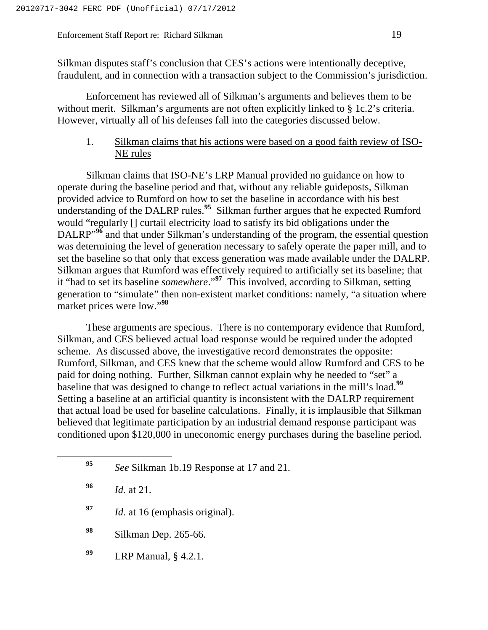Silkman disputes staff's conclusion that CES's actions were intentionally deceptive, fraudulent, and in connection with a transaction subject to the Commission's jurisdiction.

Enforcement has reviewed all of Silkman's arguments and believes them to be without merit. Silkman's arguments are not often explicitly linked to § 1c.2's criteria. However, virtually all of his defenses fall into the categories discussed below.

# 1. Silkman claims that his actions were based on a good faith review of ISO-NE rules

Silkman claims that ISO-NE's LRP Manual provided no guidance on how to operate during the baseline period and that, without any reliable guideposts, Silkman provided advice to Rumford on how to set the baseline in accordance with his best understanding of the DALRP rules.**<sup>95</sup>** Silkman further argues that he expected Rumford would "regularly [] curtail electricity load to satisfy its bid obligations under the DALRP<sup>"96</sup> and that under Silkman's understanding of the program, the essential question was determining the level of generation necessary to safely operate the paper mill, and to set the baseline so that only that excess generation was made available under the DALRP. Silkman argues that Rumford was effectively required to artificially set its baseline; that it "had to set its baseline *somewhere*."**<sup>97</sup>** This involved, according to Silkman, setting generation to "simulate" then non-existent market conditions: namely, "a situation where market prices were low."**<sup>98</sup>**

These arguments are specious. There is no contemporary evidence that Rumford, Silkman, and CES believed actual load response would be required under the adopted scheme. As discussed above, the investigative record demonstrates the opposite: Rumford, Silkman, and CES knew that the scheme would allow Rumford and CES to be paid for doing nothing. Further, Silkman cannot explain why he needed to "set" a baseline that was designed to change to reflect actual variations in the mill's load.**<sup>99</sup>** Setting a baseline at an artificial quantity is inconsistent with the DALRP requirement that actual load be used for baseline calculations. Finally, it is implausible that Silkman believed that legitimate participation by an industrial demand response participant was conditioned upon \$120,000 in uneconomic energy purchases during the baseline period.

**<sup>97</sup>** *Id.* at 16 (emphasis original).

**<sup>98</sup>** Silkman Dep. 265-66.

**<sup>99</sup>** LRP Manual, § 4.2.1.

**<sup>95</sup>** *See* Silkman 1b.19 Response at 17 and 21.

**<sup>96</sup>** *Id.* at 21.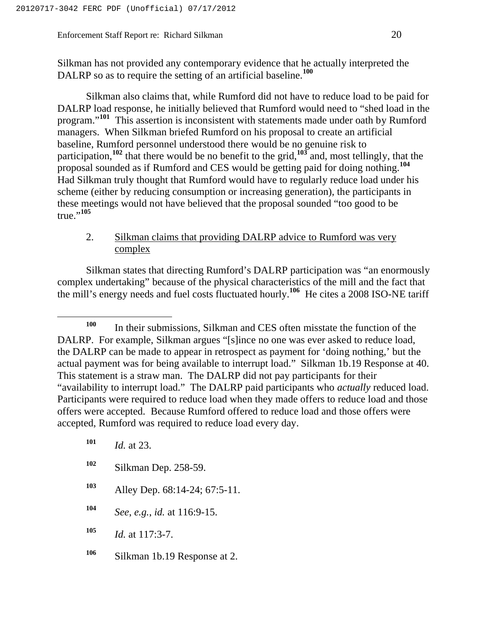Silkman has not provided any contemporary evidence that he actually interpreted the DALRP so as to require the setting of an artificial baseline.<sup>100</sup>

Silkman also claims that, while Rumford did not have to reduce load to be paid for DALRP load response, he initially believed that Rumford would need to "shed load in the program."**<sup>101</sup>** This assertion is inconsistent with statements made under oath by Rumford managers. When Silkman briefed Rumford on his proposal to create an artificial baseline, Rumford personnel understood there would be no genuine risk to participation,**<sup>102</sup>** that there would be no benefit to the grid,**<sup>103</sup>** and, most tellingly, that the proposal sounded as if Rumford and CES would be getting paid for doing nothing.**<sup>104</sup>** Had Silkman truly thought that Rumford would have to regularly reduce load under his scheme (either by reducing consumption or increasing generation), the participants in these meetings would not have believed that the proposal sounded "too good to be true."**<sup>105</sup>**

# 2. Silkman claims that providing DALRP advice to Rumford was very complex

Silkman states that directing Rumford's DALRP participation was "an enormously complex undertaking" because of the physical characteristics of the mill and the fact that the mill's energy needs and fuel costs fluctuated hourly.**<sup>106</sup>** He cites a 2008 ISO-NE tariff

- **<sup>103</sup>** Alley Dep. 68:14-24; 67:5-11.
- **<sup>104</sup>** *See*, *e.g.*, *id.* at 116:9-15.
- **<sup>105</sup>** *Id.* at 117:3-7.
- **<sup>106</sup>** Silkman 1b.19 Response at 2.

**<sup>100</sup>** In their submissions, Silkman and CES often misstate the function of the DALRP. For example, Silkman argues "[s]ince no one was ever asked to reduce load, the DALRP can be made to appear in retrospect as payment for 'doing nothing,' but the actual payment was for being available to interrupt load." Silkman 1b.19 Response at 40. This statement is a straw man. The DALRP did not pay participants for their "availability to interrupt load." The DALRP paid participants who *actually* reduced load. Participants were required to reduce load when they made offers to reduce load and those offers were accepted. Because Rumford offered to reduce load and those offers were accepted, Rumford was required to reduce load every day.

**<sup>101</sup>** *Id.* at 23.

**<sup>102</sup>** Silkman Dep. 258-59.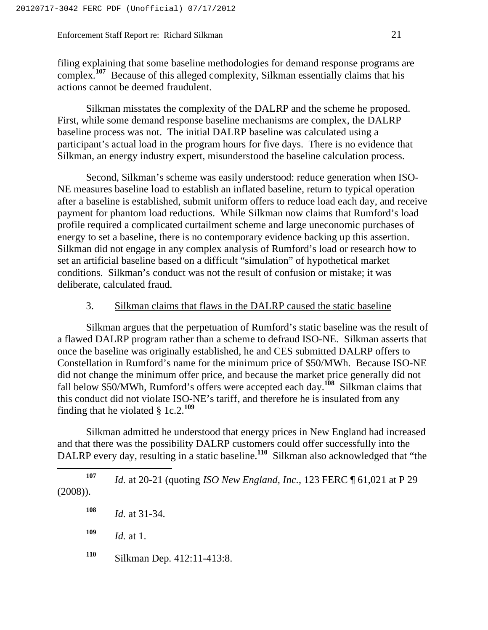filing explaining that some baseline methodologies for demand response programs are complex.**<sup>107</sup>** Because of this alleged complexity, Silkman essentially claims that his actions cannot be deemed fraudulent.

Silkman misstates the complexity of the DALRP and the scheme he proposed. First, while some demand response baseline mechanisms are complex, the DALRP baseline process was not. The initial DALRP baseline was calculated using a participant's actual load in the program hours for five days. There is no evidence that Silkman, an energy industry expert, misunderstood the baseline calculation process.

Second, Silkman's scheme was easily understood: reduce generation when ISO-NE measures baseline load to establish an inflated baseline, return to typical operation after a baseline is established, submit uniform offers to reduce load each day, and receive payment for phantom load reductions. While Silkman now claims that Rumford's load profile required a complicated curtailment scheme and large uneconomic purchases of energy to set a baseline, there is no contemporary evidence backing up this assertion. Silkman did not engage in any complex analysis of Rumford's load or research how to set an artificial baseline based on a difficult "simulation" of hypothetical market conditions. Silkman's conduct was not the result of confusion or mistake; it was deliberate, calculated fraud.

#### 3. Silkman claims that flaws in the DALRP caused the static baseline

Silkman argues that the perpetuation of Rumford's static baseline was the result of a flawed DALRP program rather than a scheme to defraud ISO-NE. Silkman asserts that once the baseline was originally established, he and CES submitted DALRP offers to Constellation in Rumford's name for the minimum price of \$50/MWh. Because ISO-NE did not change the minimum offer price, and because the market price generally did not fall below \$50/MWh, Rumford's offers were accepted each day.**<sup>108</sup>** Silkman claims that this conduct did not violate ISO-NE's tariff, and therefore he is insulated from any finding that he violated  $\S$  1c.2.<sup>109</sup>

Silkman admitted he understood that energy prices in New England had increased and that there was the possibility DALRP customers could offer successfully into the DALRP every day, resulting in a static baseline.<sup>110</sup> Silkman also acknowledged that "the

**<sup>110</sup>** Silkman Dep*.* 412:11-413:8.

**<sup>107</sup>** *Id.* at 20-21 (quoting *ISO New England, Inc.*, 123 FERC ¶ 61,021 at P 29 (2008)).

**<sup>108</sup>** *Id.* at 31-34.

**<sup>109</sup>** *Id.* at 1.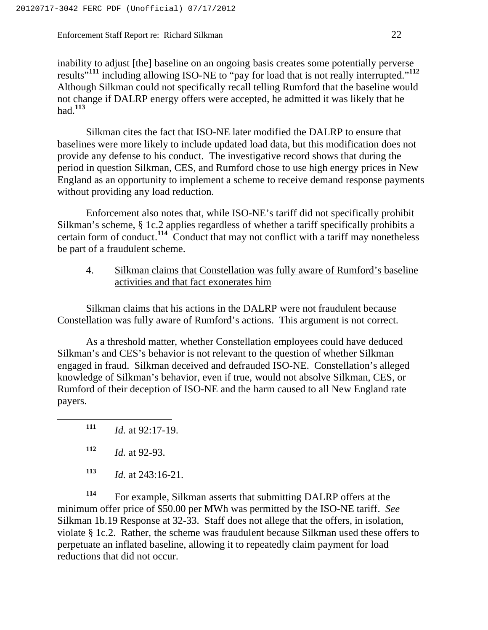inability to adjust [the] baseline on an ongoing basis creates some potentially perverse results"**<sup>111</sup>** including allowing ISO-NE to "pay for load that is not really interrupted."**<sup>112</sup>** Although Silkman could not specifically recall telling Rumford that the baseline would not change if DALRP energy offers were accepted, he admitted it was likely that he had.**<sup>113</sup>**

Silkman cites the fact that ISO-NE later modified the DALRP to ensure that baselines were more likely to include updated load data, but this modification does not provide any defense to his conduct. The investigative record shows that during the period in question Silkman, CES, and Rumford chose to use high energy prices in New England as an opportunity to implement a scheme to receive demand response payments without providing any load reduction.

Enforcement also notes that, while ISO-NE's tariff did not specifically prohibit Silkman's scheme, § 1c.2 applies regardless of whether a tariff specifically prohibits a certain form of conduct.<sup>114</sup> Conduct that may not conflict with a tariff may nonetheless be part of a fraudulent scheme.

4. Silkman claims that Constellation was fully aware of Rumford's baseline activities and that fact exonerates him

Silkman claims that his actions in the DALRP were not fraudulent because Constellation was fully aware of Rumford's actions. This argument is not correct.

As a threshold matter, whether Constellation employees could have deduced Silkman's and CES's behavior is not relevant to the question of whether Silkman engaged in fraud. Silkman deceived and defrauded ISO-NE. Constellation's alleged knowledge of Silkman's behavior, even if true, would not absolve Silkman, CES, or Rumford of their deception of ISO-NE and the harm caused to all New England rate payers.

- **<sup>111</sup>** *Id.* at 92:17-19.
- **<sup>112</sup>** *Id.* at 92-93.
- **<sup>113</sup>** *Id.* at 243:16-21.

**<sup>114</sup>** For example, Silkman asserts that submitting DALRP offers at the minimum offer price of \$50.00 per MWh was permitted by the ISO-NE tariff. *See* Silkman 1b.19 Response at 32-33. Staff does not allege that the offers, in isolation, violate § 1c.2. Rather, the scheme was fraudulent because Silkman used these offers to perpetuate an inflated baseline, allowing it to repeatedly claim payment for load reductions that did not occur.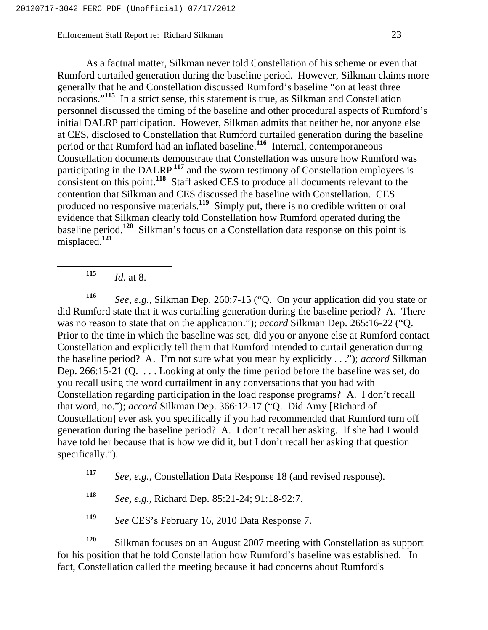As a factual matter, Silkman never told Constellation of his scheme or even that Rumford curtailed generation during the baseline period. However, Silkman claims more generally that he and Constellation discussed Rumford's baseline "on at least three occasions."**<sup>115</sup>** In a strict sense, this statement is true, as Silkman and Constellation personnel discussed the timing of the baseline and other procedural aspects of Rumford's initial DALRP participation. However, Silkman admits that neither he, nor anyone else at CES, disclosed to Constellation that Rumford curtailed generation during the baseline period or that Rumford had an inflated baseline.**<sup>116</sup>** Internal, contemporaneous Constellation documents demonstrate that Constellation was unsure how Rumford was participating in the DALRP<sup>117</sup> and the sworn testimony of Constellation employees is consistent on this point.<sup>118</sup> Staff asked CES to produce all documents relevant to the contention that Silkman and CES discussed the baseline with Constellation. CES produced no responsive materials.**<sup>119</sup>** Simply put, there is no credible written or oral evidence that Silkman clearly told Constellation how Rumford operated during the baseline period.**<sup>120</sup>** Silkman's focus on a Constellation data response on this point is misplaced.**<sup>121</sup>**

115 *Id.* at 8.

**<sup>116</sup>** *See, e.g.*, Silkman Dep. 260:7-15 ("Q. On your application did you state or did Rumford state that it was curtailing generation during the baseline period? A. There was no reason to state that on the application."); *accord* Silkman Dep. 265:16-22 ("Q. Prior to the time in which the baseline was set, did you or anyone else at Rumford contact Constellation and explicitly tell them that Rumford intended to curtail generation during the baseline period? A. I'm not sure what you mean by explicitly . . ."); *accord* Silkman Dep. 266:15-21 (Q. . . . Looking at only the time period before the baseline was set, do you recall using the word curtailment in any conversations that you had with Constellation regarding participation in the load response programs? A. I don't recall that word, no."); *accord* Silkman Dep. 366:12-17 ("Q. Did Amy [Richard of Constellation] ever ask you specifically if you had recommended that Rumford turn off generation during the baseline period? A. I don't recall her asking. If she had I would have told her because that is how we did it, but I don't recall her asking that question specifically.").

- **<sup>117</sup>** *See, e.g.*, Constellation Data Response 18 (and revised response).
- **<sup>118</sup>** *See, e.g.*, Richard Dep. 85:21-24; 91:18-92:7.
- **<sup>119</sup>** *See* CES's February 16, 2010 Data Response 7.

**<sup>120</sup>** Silkman focuses on an August 2007 meeting with Constellation as support for his position that he told Constellation how Rumford's baseline was established. In fact, Constellation called the meeting because it had concerns about Rumford's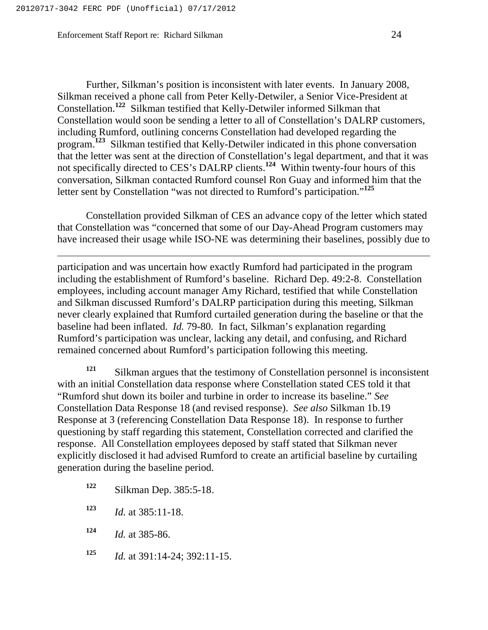$\overline{a}$ 

Enforcement Staff Report re: Richard Silkman 24

Further, Silkman's position is inconsistent with later events. In January 2008, Silkman received a phone call from Peter Kelly-Detwiler, a Senior Vice-President at Constellation.**<sup>122</sup>** Silkman testified that Kelly-Detwiler informed Silkman that Constellation would soon be sending a letter to all of Constellation's DALRP customers, including Rumford, outlining concerns Constellation had developed regarding the program.**<sup>123</sup>** Silkman testified that Kelly-Detwiler indicated in this phone conversation that the letter was sent at the direction of Constellation's legal department, and that it was not specifically directed to CES's DALRP clients.**<sup>124</sup>** Within twenty-four hours of this conversation, Silkman contacted Rumford counsel Ron Guay and informed him that the letter sent by Constellation "was not directed to Rumford's participation."**<sup>125</sup>**

Constellation provided Silkman of CES an advance copy of the letter which stated that Constellation was "concerned that some of our Day-Ahead Program customers may have increased their usage while ISO-NE was determining their baselines, possibly due to

participation and was uncertain how exactly Rumford had participated in the program including the establishment of Rumford's baseline. Richard Dep. 49:2-8. Constellation employees, including account manager Amy Richard, testified that while Constellation and Silkman discussed Rumford's DALRP participation during this meeting, Silkman never clearly explained that Rumford curtailed generation during the baseline or that the baseline had been inflated. *Id.* 79-80. In fact, Silkman's explanation regarding Rumford's participation was unclear, lacking any detail, and confusing, and Richard remained concerned about Rumford's participation following this meeting.

**<sup>121</sup>** Silkman argues that the testimony of Constellation personnel is inconsistent with an initial Constellation data response where Constellation stated CES told it that "Rumford shut down its boiler and turbine in order to increase its baseline." *See* Constellation Data Response 18 (and revised response). *See also* Silkman 1b.19 Response at 3 (referencing Constellation Data Response 18). In response to further questioning by staff regarding this statement, Constellation corrected and clarified the response. All Constellation employees deposed by staff stated that Silkman never explicitly disclosed it had advised Rumford to create an artificial baseline by curtailing generation during the baseline period.

- **<sup>122</sup>** Silkman Dep. 385:5-18.
- **<sup>123</sup>** *Id.* at 385:11-18.
- **<sup>124</sup>** *Id.* at 385-86.
- **<sup>125</sup>** *Id.* at 391:14-24; 392:11-15.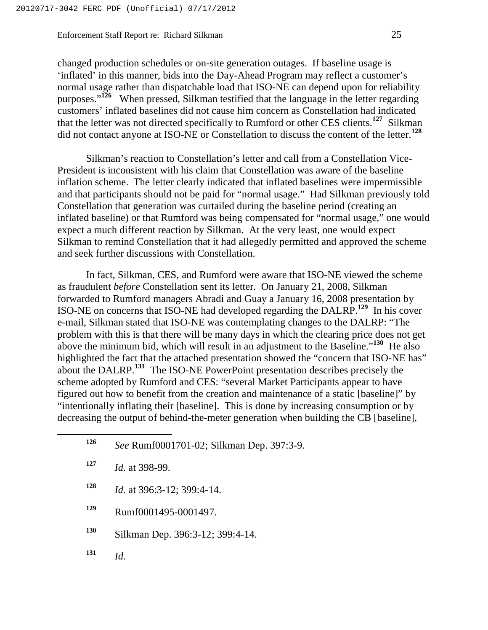changed production schedules or on-site generation outages. If baseline usage is 'inflated' in this manner, bids into the Day-Ahead Program may reflect a customer's normal usage rather than dispatchable load that ISO-NE can depend upon for reliability purposes."**<sup>126</sup>** When pressed, Silkman testified that the language in the letter regarding customers' inflated baselines did not cause him concern as Constellation had indicated that the letter was not directed specifically to Rumford or other CES clients.**<sup>127</sup>** Silkman did not contact anyone at ISO-NE or Constellation to discuss the content of the letter.**<sup>128</sup>**

Silkman's reaction to Constellation's letter and call from a Constellation Vice-President is inconsistent with his claim that Constellation was aware of the baseline inflation scheme. The letter clearly indicated that inflated baselines were impermissible and that participants should not be paid for "normal usage." Had Silkman previously told Constellation that generation was curtailed during the baseline period (creating an inflated baseline) or that Rumford was being compensated for "normal usage," one would expect a much different reaction by Silkman. At the very least, one would expect Silkman to remind Constellation that it had allegedly permitted and approved the scheme and seek further discussions with Constellation.

In fact, Silkman, CES, and Rumford were aware that ISO-NE viewed the scheme as fraudulent *before* Constellation sent its letter. On January 21, 2008, Silkman forwarded to Rumford managers Abradi and Guay a January 16, 2008 presentation by ISO-NE on concerns that ISO-NE had developed regarding the DALRP.**<sup>129</sup>** In his cover e-mail, Silkman stated that ISO-NE was contemplating changes to the DALRP: "The problem with this is that there will be many days in which the clearing price does not get above the minimum bid, which will result in an adjustment to the Baseline."**<sup>130</sup>** He also highlighted the fact that the attached presentation showed the "concern that ISO-NE has" about the DALRP.**<sup>131</sup>** The ISO-NE PowerPoint presentation describes precisely the scheme adopted by Rumford and CES: "several Market Participants appear to have figured out how to benefit from the creation and maintenance of a static [baseline]" by "intentionally inflating their [baseline]. This is done by increasing consumption or by decreasing the output of behind-the-meter generation when building the CB [baseline],

| 126 | See Rumf0001701-02; Silkman Dep. 397:3-9. |
|-----|-------------------------------------------|
| 127 | <i>Id.</i> at 398-99.                     |
| 128 | <i>Id.</i> at 396:3-12; 399:4-14.         |
| 129 | Rumf0001495-0001497.                      |
| 130 | Silkman Dep. 396:3-12; 399:4-14.          |
| 131 | Id.                                       |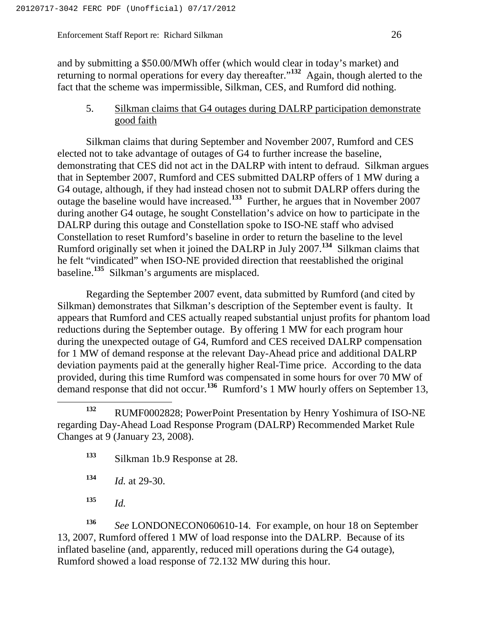and by submitting a \$50.00/MWh offer (which would clear in today's market) and returning to normal operations for every day thereafter."**<sup>132</sup>** Again, though alerted to the fact that the scheme was impermissible, Silkman, CES, and Rumford did nothing.

# 5. Silkman claims that G4 outages during DALRP participation demonstrate good faith

Silkman claims that during September and November 2007, Rumford and CES elected not to take advantage of outages of G4 to further increase the baseline, demonstrating that CES did not act in the DALRP with intent to defraud. Silkman argues that in September 2007, Rumford and CES submitted DALRP offers of 1 MW during a G4 outage, although, if they had instead chosen not to submit DALRP offers during the outage the baseline would have increased.**<sup>133</sup>** Further, he argues that in November 2007 during another G4 outage, he sought Constellation's advice on how to participate in the DALRP during this outage and Constellation spoke to ISO-NE staff who advised Constellation to reset Rumford's baseline in order to return the baseline to the level Rumford originally set when it joined the DALRP in July 2007.**<sup>134</sup>** Silkman claims that he felt "vindicated" when ISO-NE provided direction that reestablished the original baseline.**<sup>135</sup>** Silkman's arguments are misplaced.

Regarding the September 2007 event, data submitted by Rumford (and cited by Silkman) demonstrates that Silkman's description of the September event is faulty. It appears that Rumford and CES actually reaped substantial unjust profits for phantom load reductions during the September outage. By offering 1 MW for each program hour during the unexpected outage of G4, Rumford and CES received DALRP compensation for 1 MW of demand response at the relevant Day-Ahead price and additional DALRP deviation payments paid at the generally higher Real-Time price. According to the data provided, during this time Rumford was compensated in some hours for over 70 MW of demand response that did not occur.**<sup>136</sup>** Rumford's 1 MW hourly offers on September 13,

 **<sup>132</sup>** RUMF0002828; PowerPoint Presentation by Henry Yoshimura of ISO-NE regarding Day-Ahead Load Response Program (DALRP) Recommended Market Rule Changes at 9 (January 23, 2008).

- **<sup>133</sup>** Silkman 1b.9 Response at 28.
- **<sup>134</sup>** *Id.* at 29-30.
- **<sup>135</sup>** *Id.*

**<sup>136</sup>** *See* LONDONECON060610-14. For example, on hour 18 on September 13, 2007, Rumford offered 1 MW of load response into the DALRP. Because of its inflated baseline (and, apparently, reduced mill operations during the G4 outage), Rumford showed a load response of 72.132 MW during this hour.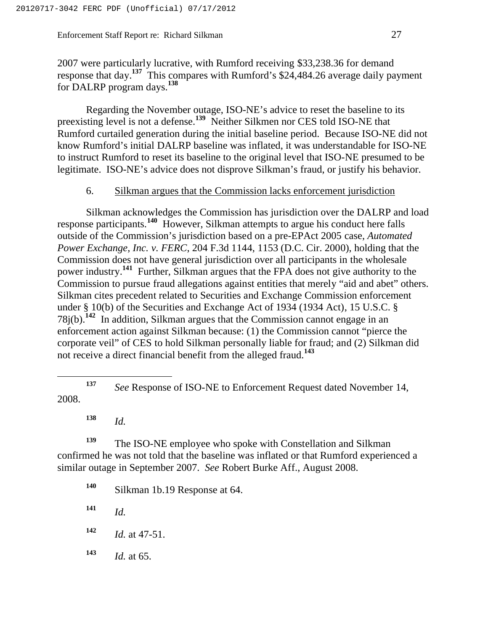2007 were particularly lucrative, with Rumford receiving \$33,238.36 for demand response that day.**<sup>137</sup>** This compares with Rumford's \$24,484.26 average daily payment for DALRP program days.**<sup>138</sup>**

Regarding the November outage, ISO-NE's advice to reset the baseline to its preexisting level is not a defense.**<sup>139</sup>** Neither Silkmen nor CES told ISO-NE that Rumford curtailed generation during the initial baseline period. Because ISO-NE did not know Rumford's initial DALRP baseline was inflated, it was understandable for ISO-NE to instruct Rumford to reset its baseline to the original level that ISO-NE presumed to be legitimate. ISO-NE's advice does not disprove Silkman's fraud, or justify his behavior.

#### 6. Silkman argues that the Commission lacks enforcement jurisdiction

Silkman acknowledges the Commission has jurisdiction over the DALRP and load response participants.**<sup>140</sup>** However, Silkman attempts to argue his conduct here falls outside of the Commission's jurisdiction based on a pre-EPAct 2005 case, *Automated Power Exchange, Inc. v. FERC*, 204 F.3d 1144, 1153 (D.C. Cir. 2000), holding that the Commission does not have general jurisdiction over all participants in the wholesale power industry.**<sup>141</sup>** Further, Silkman argues that the FPA does not give authority to the Commission to pursue fraud allegations against entities that merely "aid and abet" others. Silkman cites precedent related to Securities and Exchange Commission enforcement under § 10(b) of the Securities and Exchange Act of 1934 (1934 Act), 15 U.S.C. § 78j(b).**<sup>142</sup>** In addition, Silkman argues that the Commission cannot engage in an enforcement action against Silkman because: (1) the Commission cannot "pierce the corporate veil" of CES to hold Silkman personally liable for fraud; and (2) Silkman did not receive a direct financial benefit from the alleged fraud.**<sup>143</sup>**

**<sup>138</sup>** *Id.*

**<sup>139</sup>** The ISO-NE employee who spoke with Constellation and Silkman confirmed he was not told that the baseline was inflated or that Rumford experienced a similar outage in September 2007. *See* Robert Burke Aff., August 2008.

**<sup>140</sup>** Silkman 1b.19 Response at 64.

**<sup>141</sup>** *Id.*

- **<sup>142</sup>** *Id.* at 47-51.
- **<sup>143</sup>** *Id.* at 65.

**<sup>137</sup>** *See* Response of ISO-NE to Enforcement Request dated November 14, 2008.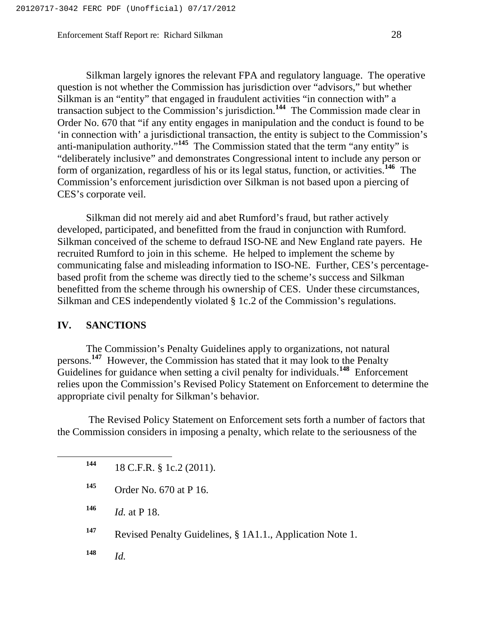Silkman largely ignores the relevant FPA and regulatory language. The operative question is not whether the Commission has jurisdiction over "advisors," but whether Silkman is an "entity" that engaged in fraudulent activities "in connection with" a transaction subject to the Commission's jurisdiction.**<sup>144</sup>** The Commission made clear in Order No. 670 that "if any entity engages in manipulation and the conduct is found to be 'in connection with' a jurisdictional transaction, the entity is subject to the Commission's anti-manipulation authority."**<sup>145</sup>** The Commission stated that the term "any entity" is "deliberately inclusive" and demonstrates Congressional intent to include any person or form of organization, regardless of his or its legal status, function, or activities.**<sup>146</sup>** The Commission's enforcement jurisdiction over Silkman is not based upon a piercing of CES's corporate veil.

Silkman did not merely aid and abet Rumford's fraud, but rather actively developed, participated, and benefitted from the fraud in conjunction with Rumford. Silkman conceived of the scheme to defraud ISO-NE and New England rate payers. He recruited Rumford to join in this scheme. He helped to implement the scheme by communicating false and misleading information to ISO-NE. Further, CES's percentagebased profit from the scheme was directly tied to the scheme's success and Silkman benefitted from the scheme through his ownership of CES. Under these circumstances, Silkman and CES independently violated § 1c.2 of the Commission's regulations.

#### **IV. SANCTIONS**

The Commission's Penalty Guidelines apply to organizations, not natural persons. **<sup>147</sup>** However, the Commission has stated that it may look to the Penalty Guidelines for guidance when setting a civil penalty for individuals.**<sup>148</sup>** Enforcement relies upon the Commission's Revised Policy Statement on Enforcement to determine the appropriate civil penalty for Silkman's behavior.

The Revised Policy Statement on Enforcement sets forth a number of factors that the Commission considers in imposing a penalty, which relate to the seriousness of the

| 144 | 18 C.F.R. § 1c.2 (2011).                                  |
|-----|-----------------------------------------------------------|
| 145 | Order No. 670 at P 16.                                    |
| 146 | <i>Id.</i> at P 18.                                       |
| 147 | Revised Penalty Guidelines, § 1A1.1., Application Note 1. |
|     |                                                           |

**<sup>148</sup>** *Id.*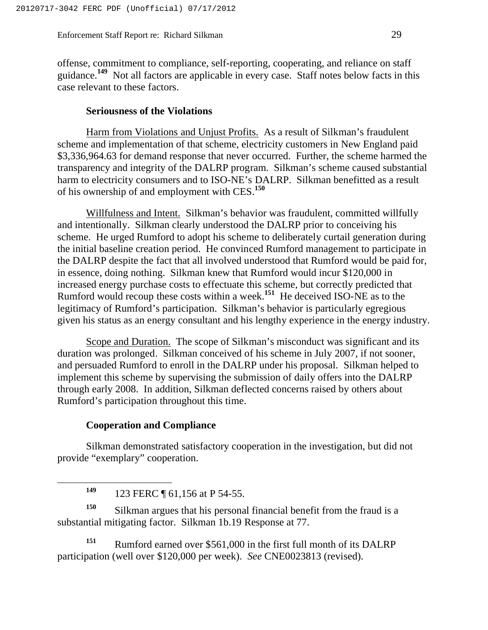offense, commitment to compliance, self-reporting, cooperating, and reliance on staff guidance.**<sup>149</sup>** Not all factors are applicable in every case. Staff notes below facts in this case relevant to these factors.

#### **Seriousness of the Violations**

Harm from Violations and Unjust Profits. As a result of Silkman's fraudulent scheme and implementation of that scheme, electricity customers in New England paid \$3,336,964.63 for demand response that never occurred. Further, the scheme harmed the transparency and integrity of the DALRP program. Silkman's scheme caused substantial harm to electricity consumers and to ISO-NE's DALRP. Silkman benefitted as a result of his ownership of and employment with CES.**<sup>150</sup>**

Willfulness and Intent. Silkman's behavior was fraudulent, committed willfully and intentionally. Silkman clearly understood the DALRP prior to conceiving his scheme. He urged Rumford to adopt his scheme to deliberately curtail generation during the initial baseline creation period. He convinced Rumford management to participate in the DALRP despite the fact that all involved understood that Rumford would be paid for, in essence, doing nothing. Silkman knew that Rumford would incur \$120,000 in increased energy purchase costs to effectuate this scheme, but correctly predicted that Rumford would recoup these costs within a week.**<sup>151</sup>** He deceived ISO-NE as to the legitimacy of Rumford's participation. Silkman's behavior is particularly egregious given his status as an energy consultant and his lengthy experience in the energy industry.

Scope and Duration. The scope of Silkman's misconduct was significant and its duration was prolonged. Silkman conceived of his scheme in July 2007, if not sooner, and persuaded Rumford to enroll in the DALRP under his proposal. Silkman helped to implement this scheme by supervising the submission of daily offers into the DALRP through early 2008. In addition, Silkman deflected concerns raised by others about Rumford's participation throughout this time.

#### **Cooperation and Compliance**

Silkman demonstrated satisfactory cooperation in the investigation, but did not provide "exemplary" cooperation.

**<sup>150</sup>** Silkman argues that his personal financial benefit from the fraud is a substantial mitigating factor. Silkman 1b.19 Response at 77.

**<sup>151</sup>** Rumford earned over \$561,000 in the first full month of its DALRP participation (well over \$120,000 per week). *See* CNE0023813 (revised).

**<sup>149</sup>** 123 FERC ¶ 61,156 at P 54-55.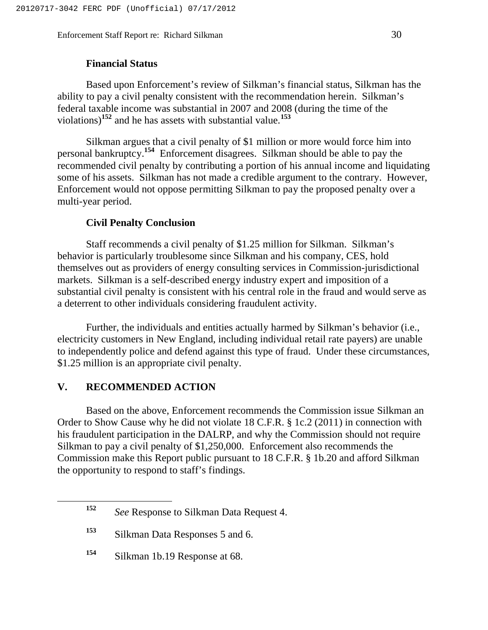#### **Financial Status**

Based upon Enforcement's review of Silkman's financial status, Silkman has the ability to pay a civil penalty consistent with the recommendation herein. Silkman's federal taxable income was substantial in 2007 and 2008 (during the time of the violations)**<sup>152</sup>** and he has assets with substantial value.**<sup>153</sup>**

Silkman argues that a civil penalty of \$1 million or more would force him into personal bankruptcy.**<sup>154</sup>** Enforcement disagrees. Silkman should be able to pay the recommended civil penalty by contributing a portion of his annual income and liquidating some of his assets. Silkman has not made a credible argument to the contrary. However, Enforcement would not oppose permitting Silkman to pay the proposed penalty over a multi-year period.

#### **Civil Penalty Conclusion**

Staff recommends a civil penalty of \$1.25 million for Silkman. Silkman's behavior is particularly troublesome since Silkman and his company, CES, hold themselves out as providers of energy consulting services in Commission-jurisdictional markets. Silkman is a self-described energy industry expert and imposition of a substantial civil penalty is consistent with his central role in the fraud and would serve as a deterrent to other individuals considering fraudulent activity.

Further, the individuals and entities actually harmed by Silkman's behavior (i.e., electricity customers in New England, including individual retail rate payers) are unable to independently police and defend against this type of fraud. Under these circumstances, \$1.25 million is an appropriate civil penalty.

#### **V. RECOMMENDED ACTION**

Based on the above, Enforcement recommends the Commission issue Silkman an Order to Show Cause why he did not violate 18 C.F.R. § 1c.2 (2011) in connection with his fraudulent participation in the DALRP, and why the Commission should not require Silkman to pay a civil penalty of \$1,250,000. Enforcement also recommends the Commission make this Report public pursuant to 18 C.F.R. § 1b.20 and afford Silkman the opportunity to respond to staff's findings.

**<sup>154</sup>** Silkman 1b.19 Response at 68.

**<sup>152</sup>** *See* Response to Silkman Data Request 4.

**<sup>153</sup>** Silkman Data Responses 5 and 6.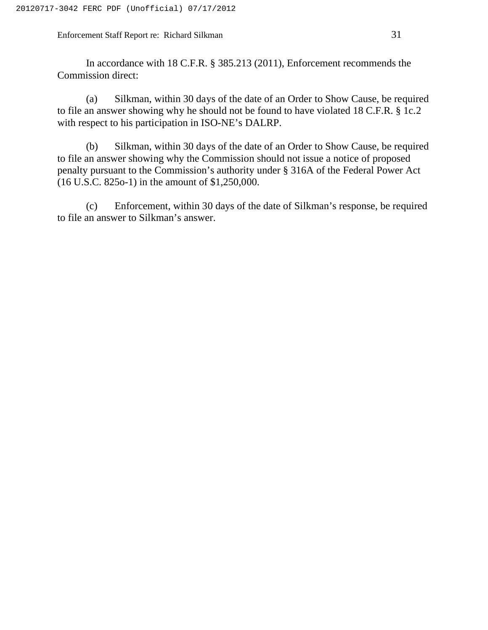(a) Silkman, within 30 days of the date of an Order to Show Cause, be required to file an answer showing why he should not be found to have violated 18 C.F.R. § 1c.2 with respect to his participation in ISO-NE's DALRP.

(b) Silkman, within 30 days of the date of an Order to Show Cause, be required to file an answer showing why the Commission should not issue a notice of proposed penalty pursuant to the Commission's authority under § 316A of the Federal Power Act (16 U.S.C. 825o-1) in the amount of \$1,250,000.

(c) Enforcement, within 30 days of the date of Silkman's response, be required to file an answer to Silkman's answer.